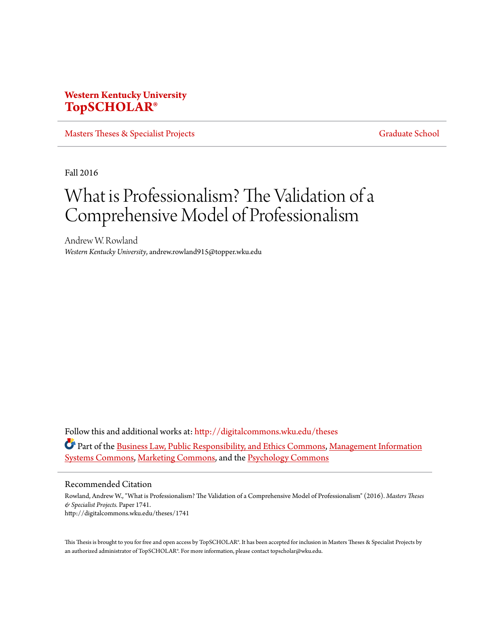# **Western Kentucky University [TopSCHOLAR®](http://digitalcommons.wku.edu?utm_source=digitalcommons.wku.edu%2Ftheses%2F1741&utm_medium=PDF&utm_campaign=PDFCoverPages)**

[Masters Theses & Specialist Projects](http://digitalcommons.wku.edu/theses?utm_source=digitalcommons.wku.edu%2Ftheses%2F1741&utm_medium=PDF&utm_campaign=PDFCoverPages) [Graduate School](http://digitalcommons.wku.edu/Graduate?utm_source=digitalcommons.wku.edu%2Ftheses%2F1741&utm_medium=PDF&utm_campaign=PDFCoverPages) Graduate School

Fall 2016

# What is Professionalism? The Validation of a Comprehensive Model of Professionalism

Andrew W. Rowland *Western Kentucky University*, andrew.rowland915@topper.wku.edu

Follow this and additional works at: [http://digitalcommons.wku.edu/theses](http://digitalcommons.wku.edu/theses?utm_source=digitalcommons.wku.edu%2Ftheses%2F1741&utm_medium=PDF&utm_campaign=PDFCoverPages) Part of the [Business Law, Public Responsibility, and Ethics Commons,](http://network.bepress.com/hgg/discipline/628?utm_source=digitalcommons.wku.edu%2Ftheses%2F1741&utm_medium=PDF&utm_campaign=PDFCoverPages) [Management Information](http://network.bepress.com/hgg/discipline/636?utm_source=digitalcommons.wku.edu%2Ftheses%2F1741&utm_medium=PDF&utm_campaign=PDFCoverPages) [Systems Commons](http://network.bepress.com/hgg/discipline/636?utm_source=digitalcommons.wku.edu%2Ftheses%2F1741&utm_medium=PDF&utm_campaign=PDFCoverPages), [Marketing Commons,](http://network.bepress.com/hgg/discipline/638?utm_source=digitalcommons.wku.edu%2Ftheses%2F1741&utm_medium=PDF&utm_campaign=PDFCoverPages) and the [Psychology Commons](http://network.bepress.com/hgg/discipline/404?utm_source=digitalcommons.wku.edu%2Ftheses%2F1741&utm_medium=PDF&utm_campaign=PDFCoverPages)

#### Recommended Citation

Rowland, Andrew W., "What is Professionalism? The Validation of a Comprehensive Model of Professionalism" (2016). *Masters Theses & Specialist Projects.* Paper 1741. http://digitalcommons.wku.edu/theses/1741

This Thesis is brought to you for free and open access by TopSCHOLAR®. It has been accepted for inclusion in Masters Theses & Specialist Projects by an authorized administrator of TopSCHOLAR®. For more information, please contact topscholar@wku.edu.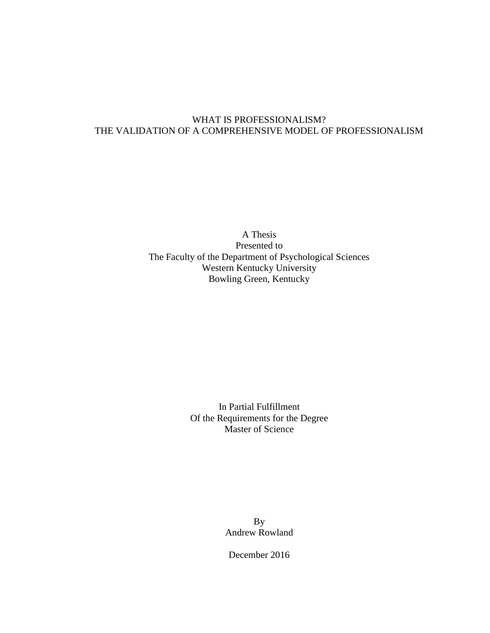## WHAT IS PROFESSIONALISM? THE VALIDATION OF A COMPREHENSIVE MODEL OF PROFESSIONALISM

A Thesis Presented to The Faculty of the Department of Psychological Sciences Western Kentucky University Bowling Green, Kentucky

> In Partial Fulfillment Of the Requirements for the Degree Master of Science

> > By Andrew Rowland

December 2016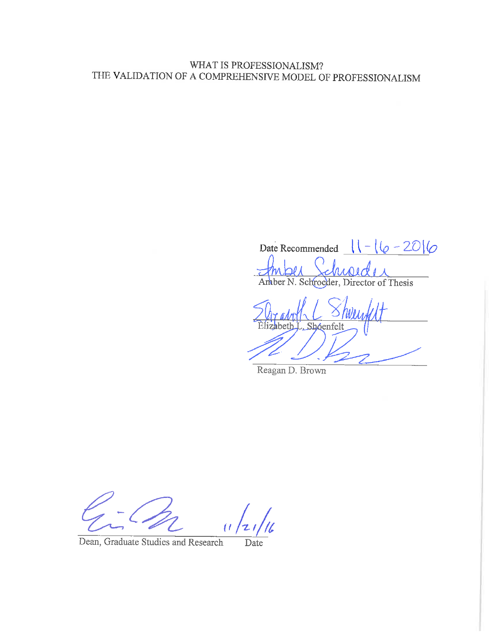# WHAT IS PROFESSIONALISM? THE VALIDATION OF A COMPREHENSIVE MODEL OF PROFESSIONALISM

Date Recommended  $\sqrt{(-|\phi - 20|\phi - 1|)}$  $\neg \theta \mid \theta$  $l_{0,0,0,0}$ 

Amber N. Schroeder, Director of Thesis

izabeth L. Shoenfelt

Reagan D. Brown

Dean, Graduate Studies and Research

Date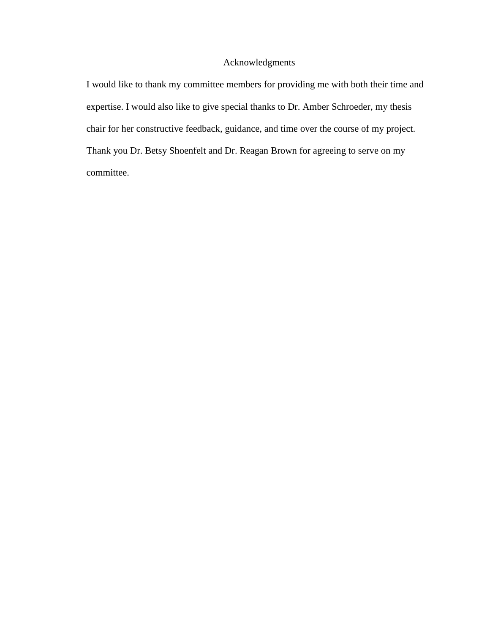#### Acknowledgments

I would like to thank my committee members for providing me with both their time and expertise. I would also like to give special thanks to Dr. Amber Schroeder, my thesis chair for her constructive feedback, guidance, and time over the course of my project. Thank you Dr. Betsy Shoenfelt and Dr. Reagan Brown for agreeing to serve on my committee.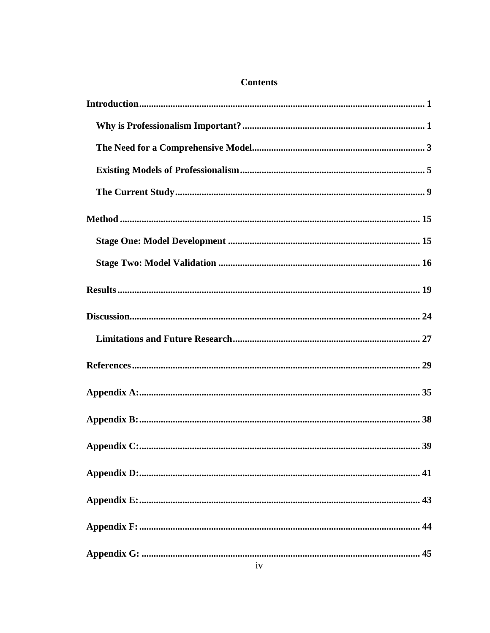### **Contents**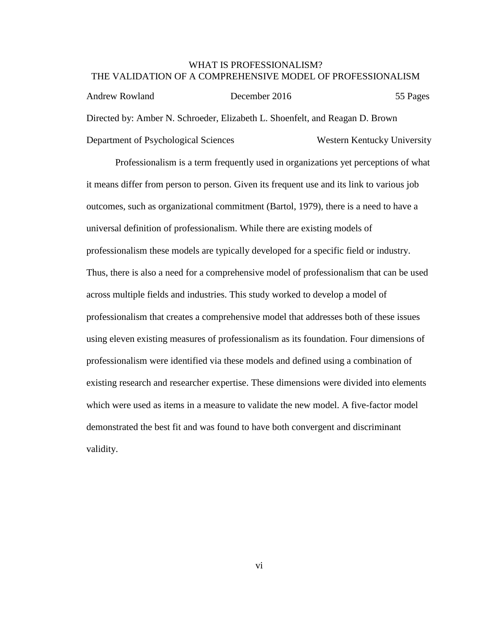#### WHAT IS PROFESSIONALISM? THE VALIDATION OF A COMPREHENSIVE MODEL OF PROFESSIONALISM

Andrew Rowland December 2016 55 Pages Directed by: Amber N. Schroeder, Elizabeth L. Shoenfelt, and Reagan D. Brown Department of Psychological Sciences Western Kentucky University

Professionalism is a term frequently used in organizations yet perceptions of what it means differ from person to person. Given its frequent use and its link to various job outcomes, such as organizational commitment (Bartol, 1979), there is a need to have a universal definition of professionalism. While there are existing models of professionalism these models are typically developed for a specific field or industry. Thus, there is also a need for a comprehensive model of professionalism that can be used across multiple fields and industries. This study worked to develop a model of professionalism that creates a comprehensive model that addresses both of these issues using eleven existing measures of professionalism as its foundation. Four dimensions of professionalism were identified via these models and defined using a combination of existing research and researcher expertise. These dimensions were divided into elements which were used as items in a measure to validate the new model. A five-factor model demonstrated the best fit and was found to have both convergent and discriminant validity.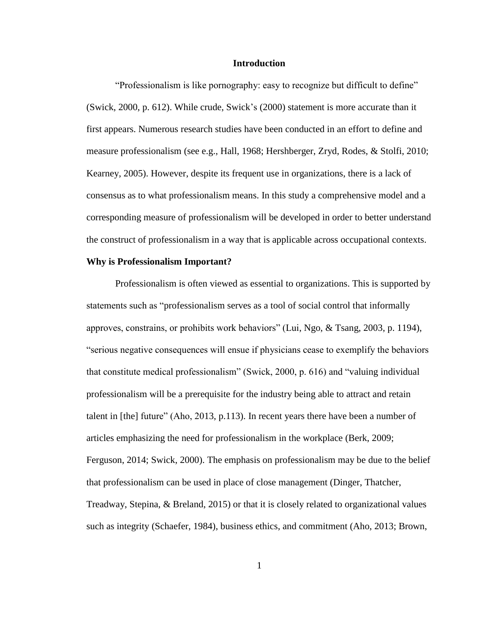#### **Introduction**

<span id="page-7-0"></span>"Professionalism is like pornography: easy to recognize but difficult to define" (Swick, 2000, p. 612). While crude, Swick's (2000) statement is more accurate than it first appears. Numerous research studies have been conducted in an effort to define and measure professionalism (see e.g., Hall, 1968; Hershberger, Zryd, Rodes, & Stolfi, 2010; Kearney, 2005). However, despite its frequent use in organizations, there is a lack of consensus as to what professionalism means. In this study a comprehensive model and a corresponding measure of professionalism will be developed in order to better understand the construct of professionalism in a way that is applicable across occupational contexts.

#### <span id="page-7-1"></span>**Why is Professionalism Important?**

Professionalism is often viewed as essential to organizations. This is supported by statements such as "professionalism serves as a tool of social control that informally approves, constrains, or prohibits work behaviors" (Lui, Ngo, & Tsang, 2003, p. 1194), "serious negative consequences will ensue if physicians cease to exemplify the behaviors that constitute medical professionalism" (Swick, 2000, p. 616) and "valuing individual professionalism will be a prerequisite for the industry being able to attract and retain talent in [the] future" (Aho, 2013, p.113). In recent years there have been a number of articles emphasizing the need for professionalism in the workplace (Berk, 2009; Ferguson, 2014; Swick, 2000). The emphasis on professionalism may be due to the belief that professionalism can be used in place of close management (Dinger, Thatcher, Treadway, Stepina, & Breland, 2015) or that it is closely related to organizational values such as integrity (Schaefer, 1984), business ethics, and commitment (Aho, 2013; Brown,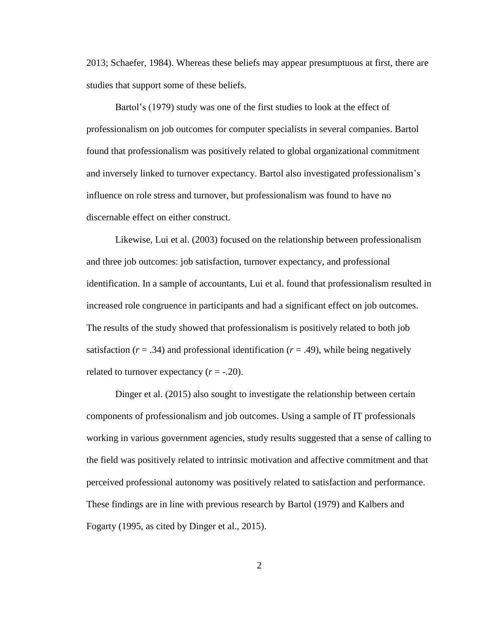2013; Schaefer, 1984). Whereas these beliefs may appear presumptuous at first, there are studies that support some of these beliefs.

Bartol's (1979) study was one of the first studies to look at the effect of professionalism on job outcomes for computer specialists in several companies. Bartol found that professionalism was positively related to global organizational commitment and inversely linked to turnover expectancy. Bartol also investigated professionalism's influence on role stress and turnover, but professionalism was found to have no discernable effect on either construct.

Likewise, Lui et al. (2003) focused on the relationship between professionalism and three job outcomes: job satisfaction, turnover expectancy, and professional identification. In a sample of accountants, Lui et al. found that professionalism resulted in increased role congruence in participants and had a significant effect on job outcomes. The results of the study showed that professionalism is positively related to both job satisfaction  $(r = .34)$  and professional identification  $(r = .49)$ , while being negatively related to turnover expectancy  $(r = -.20)$ .

Dinger et al. (2015) also sought to investigate the relationship between certain components of professionalism and job outcomes. Using a sample of IT professionals working in various government agencies, study results suggested that a sense of calling to the field was positively related to intrinsic motivation and affective commitment and that perceived professional autonomy was positively related to satisfaction and performance. These findings are in line with previous research by Bartol (1979) and Kalbers and Fogarty (1995, as cited by Dinger et al., 2015).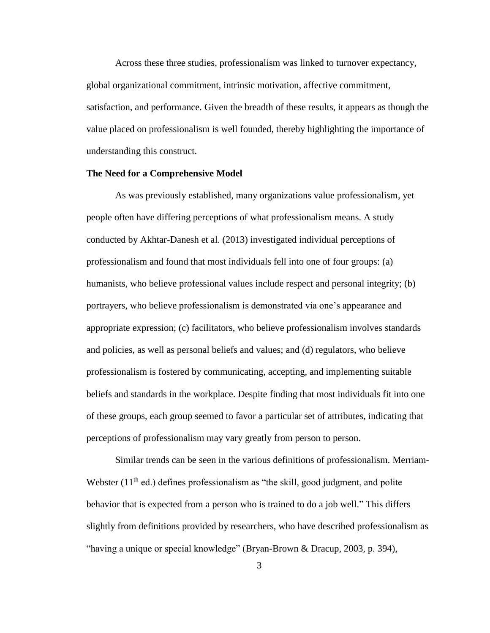Across these three studies, professionalism was linked to turnover expectancy, global organizational commitment, intrinsic motivation, affective commitment, satisfaction, and performance. Given the breadth of these results, it appears as though the value placed on professionalism is well founded, thereby highlighting the importance of understanding this construct.

#### <span id="page-9-0"></span>**The Need for a Comprehensive Model**

As was previously established, many organizations value professionalism, yet people often have differing perceptions of what professionalism means. A study conducted by Akhtar-Danesh et al. (2013) investigated individual perceptions of professionalism and found that most individuals fell into one of four groups: (a) humanists, who believe professional values include respect and personal integrity; (b) portrayers, who believe professionalism is demonstrated via one's appearance and appropriate expression; (c) facilitators, who believe professionalism involves standards and policies, as well as personal beliefs and values; and (d) regulators, who believe professionalism is fostered by communicating, accepting, and implementing suitable beliefs and standards in the workplace. Despite finding that most individuals fit into one of these groups, each group seemed to favor a particular set of attributes, indicating that perceptions of professionalism may vary greatly from person to person.

Similar trends can be seen in the various definitions of professionalism. Merriam-Webster  $(11<sup>th</sup>$  ed.) defines professionalism as "the skill, good judgment, and polite behavior that is expected from a person who is trained to do a job well." This differs slightly from definitions provided by researchers, who have described professionalism as "having a unique or special knowledge" (Bryan-Brown & Dracup, 2003, p. 394),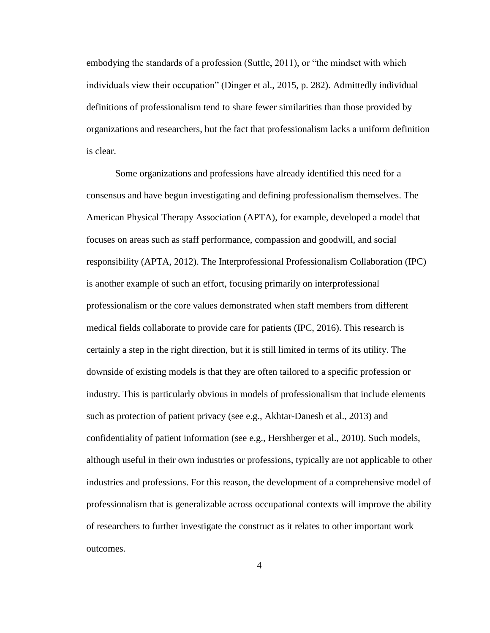embodying the standards of a profession (Suttle, 2011), or "the mindset with which individuals view their occupation" (Dinger et al., 2015, p. 282). Admittedly individual definitions of professionalism tend to share fewer similarities than those provided by organizations and researchers, but the fact that professionalism lacks a uniform definition is clear.

Some organizations and professions have already identified this need for a consensus and have begun investigating and defining professionalism themselves. The American Physical Therapy Association (APTA), for example, developed a model that focuses on areas such as staff performance, compassion and goodwill, and social responsibility (APTA, 2012). The Interprofessional Professionalism Collaboration (IPC) is another example of such an effort, focusing primarily on interprofessional professionalism or the core values demonstrated when staff members from different medical fields collaborate to provide care for patients (IPC, 2016). This research is certainly a step in the right direction, but it is still limited in terms of its utility. The downside of existing models is that they are often tailored to a specific profession or industry. This is particularly obvious in models of professionalism that include elements such as protection of patient privacy (see e.g., Akhtar-Danesh et al., 2013) and confidentiality of patient information (see e.g., Hershberger et al., 2010). Such models, although useful in their own industries or professions, typically are not applicable to other industries and professions. For this reason, the development of a comprehensive model of professionalism that is generalizable across occupational contexts will improve the ability of researchers to further investigate the construct as it relates to other important work outcomes.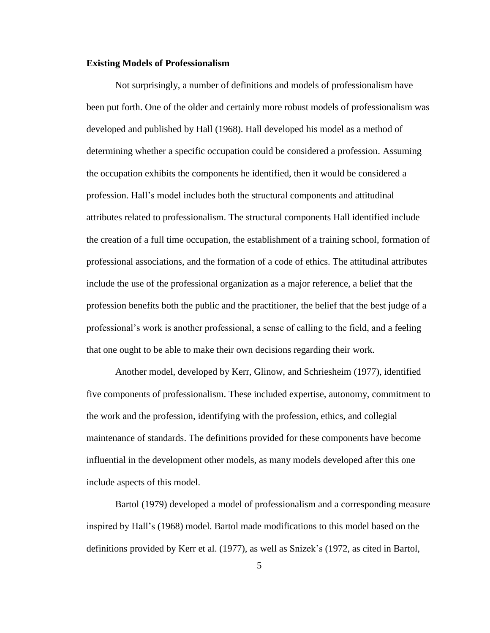#### <span id="page-11-0"></span>**Existing Models of Professionalism**

Not surprisingly, a number of definitions and models of professionalism have been put forth. One of the older and certainly more robust models of professionalism was developed and published by Hall (1968). Hall developed his model as a method of determining whether a specific occupation could be considered a profession. Assuming the occupation exhibits the components he identified, then it would be considered a profession. Hall's model includes both the structural components and attitudinal attributes related to professionalism. The structural components Hall identified include the creation of a full time occupation, the establishment of a training school, formation of professional associations, and the formation of a code of ethics. The attitudinal attributes include the use of the professional organization as a major reference, a belief that the profession benefits both the public and the practitioner, the belief that the best judge of a professional's work is another professional, a sense of calling to the field, and a feeling that one ought to be able to make their own decisions regarding their work.

Another model, developed by Kerr, Glinow, and Schriesheim (1977), identified five components of professionalism. These included expertise, autonomy, commitment to the work and the profession, identifying with the profession, ethics, and collegial maintenance of standards. The definitions provided for these components have become influential in the development other models, as many models developed after this one include aspects of this model.

Bartol (1979) developed a model of professionalism and a corresponding measure inspired by Hall's (1968) model. Bartol made modifications to this model based on the definitions provided by Kerr et al. (1977), as well as Snizek's (1972, as cited in Bartol,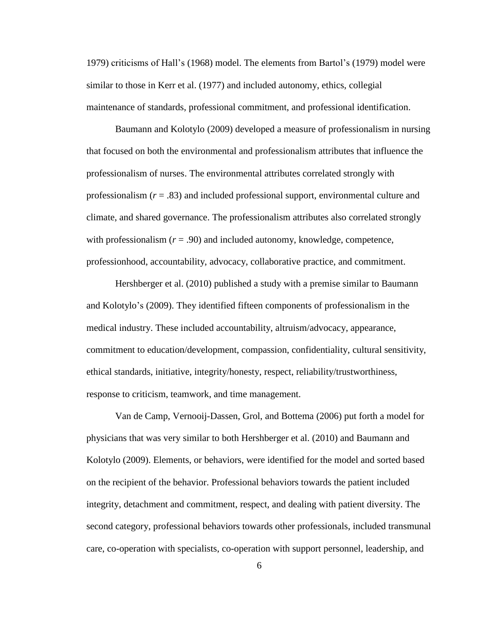1979) criticisms of Hall's (1968) model. The elements from Bartol's (1979) model were similar to those in Kerr et al. (1977) and included autonomy, ethics, collegial maintenance of standards, professional commitment, and professional identification.

Baumann and Kolotylo (2009) developed a measure of professionalism in nursing that focused on both the environmental and professionalism attributes that influence the professionalism of nurses. The environmental attributes correlated strongly with professionalism (*r* = .83) and included professional support, environmental culture and climate, and shared governance. The professionalism attributes also correlated strongly with professionalism  $(r = .90)$  and included autonomy, knowledge, competence, professionhood, accountability, advocacy, collaborative practice, and commitment.

Hershberger et al. (2010) published a study with a premise similar to Baumann and Kolotylo's (2009). They identified fifteen components of professionalism in the medical industry. These included accountability, altruism/advocacy, appearance, commitment to education/development, compassion, confidentiality, cultural sensitivity, ethical standards, initiative, integrity/honesty, respect, reliability/trustworthiness, response to criticism, teamwork, and time management.

Van de Camp, Vernooij-Dassen, Grol, and Bottema (2006) put forth a model for physicians that was very similar to both Hershberger et al. (2010) and Baumann and Kolotylo (2009). Elements, or behaviors, were identified for the model and sorted based on the recipient of the behavior. Professional behaviors towards the patient included integrity, detachment and commitment, respect, and dealing with patient diversity. The second category, professional behaviors towards other professionals, included transmunal care, co-operation with specialists, co-operation with support personnel, leadership, and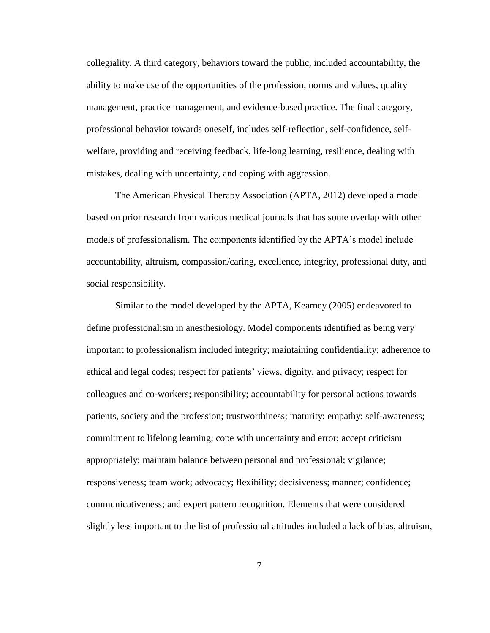collegiality. A third category, behaviors toward the public, included accountability, the ability to make use of the opportunities of the profession, norms and values, quality management, practice management, and evidence-based practice. The final category, professional behavior towards oneself, includes self-reflection, self-confidence, selfwelfare, providing and receiving feedback, life-long learning, resilience, dealing with mistakes, dealing with uncertainty, and coping with aggression.

The American Physical Therapy Association (APTA, 2012) developed a model based on prior research from various medical journals that has some overlap with other models of professionalism. The components identified by the APTA's model include accountability, altruism, compassion/caring, excellence, integrity, professional duty, and social responsibility.

Similar to the model developed by the APTA, Kearney (2005) endeavored to define professionalism in anesthesiology. Model components identified as being very important to professionalism included integrity; maintaining confidentiality; adherence to ethical and legal codes; respect for patients' views, dignity, and privacy; respect for colleagues and co-workers; responsibility; accountability for personal actions towards patients, society and the profession; trustworthiness; maturity; empathy; self-awareness; commitment to lifelong learning; cope with uncertainty and error; accept criticism appropriately; maintain balance between personal and professional; vigilance; responsiveness; team work; advocacy; flexibility; decisiveness; manner; confidence; communicativeness; and expert pattern recognition. Elements that were considered slightly less important to the list of professional attitudes included a lack of bias, altruism,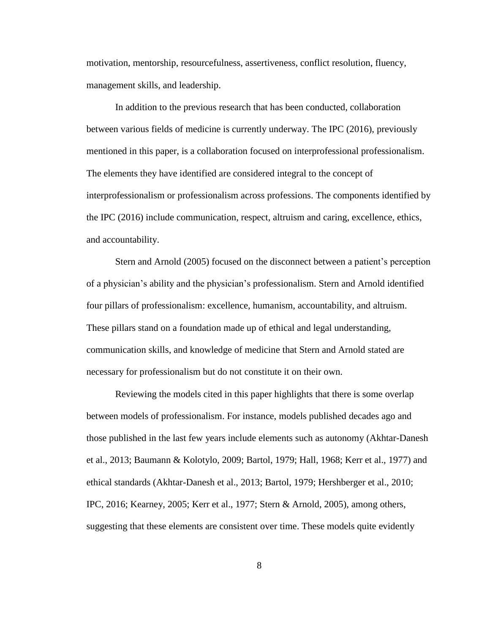motivation, mentorship, resourcefulness, assertiveness, conflict resolution, fluency, management skills, and leadership.

In addition to the previous research that has been conducted, collaboration between various fields of medicine is currently underway. The IPC (2016), previously mentioned in this paper, is a collaboration focused on interprofessional professionalism. The elements they have identified are considered integral to the concept of interprofessionalism or professionalism across professions. The components identified by the IPC (2016) include communication, respect, altruism and caring, excellence, ethics, and accountability.

Stern and Arnold (2005) focused on the disconnect between a patient's perception of a physician's ability and the physician's professionalism. Stern and Arnold identified four pillars of professionalism: excellence, humanism, accountability, and altruism. These pillars stand on a foundation made up of ethical and legal understanding, communication skills, and knowledge of medicine that Stern and Arnold stated are necessary for professionalism but do not constitute it on their own.

Reviewing the models cited in this paper highlights that there is some overlap between models of professionalism. For instance, models published decades ago and those published in the last few years include elements such as autonomy (Akhtar-Danesh et al., 2013; Baumann & Kolotylo, 2009; Bartol, 1979; Hall, 1968; Kerr et al., 1977) and ethical standards (Akhtar-Danesh et al., 2013; Bartol, 1979; Hershberger et al., 2010; IPC, 2016; Kearney, 2005; Kerr et al., 1977; Stern & Arnold, 2005), among others, suggesting that these elements are consistent over time. These models quite evidently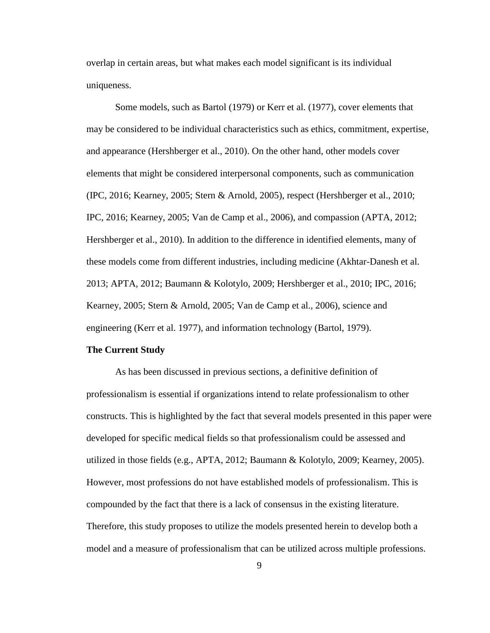overlap in certain areas, but what makes each model significant is its individual uniqueness.

Some models, such as Bartol (1979) or Kerr et al. (1977), cover elements that may be considered to be individual characteristics such as ethics, commitment, expertise, and appearance (Hershberger et al., 2010). On the other hand, other models cover elements that might be considered interpersonal components, such as communication (IPC, 2016; Kearney, 2005; Stern & Arnold, 2005), respect (Hershberger et al., 2010; IPC, 2016; Kearney, 2005; Van de Camp et al., 2006), and compassion (APTA, 2012; Hershberger et al., 2010). In addition to the difference in identified elements, many of these models come from different industries, including medicine (Akhtar-Danesh et al. 2013; APTA, 2012; Baumann & Kolotylo, 2009; Hershberger et al., 2010; IPC, 2016; Kearney, 2005; Stern & Arnold, 2005; Van de Camp et al., 2006), science and engineering (Kerr et al. 1977), and information technology (Bartol, 1979).

#### <span id="page-15-0"></span>**The Current Study**

As has been discussed in previous sections, a definitive definition of professionalism is essential if organizations intend to relate professionalism to other constructs. This is highlighted by the fact that several models presented in this paper were developed for specific medical fields so that professionalism could be assessed and utilized in those fields (e.g., APTA, 2012; Baumann & Kolotylo, 2009; Kearney, 2005). However, most professions do not have established models of professionalism. This is compounded by the fact that there is a lack of consensus in the existing literature. Therefore, this study proposes to utilize the models presented herein to develop both a model and a measure of professionalism that can be utilized across multiple professions.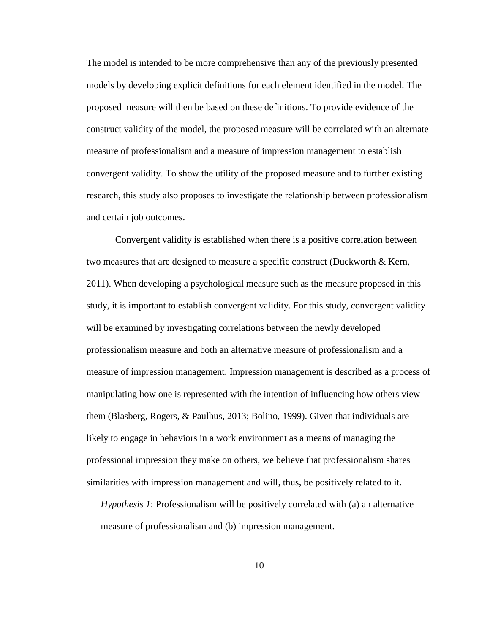The model is intended to be more comprehensive than any of the previously presented models by developing explicit definitions for each element identified in the model. The proposed measure will then be based on these definitions. To provide evidence of the construct validity of the model, the proposed measure will be correlated with an alternate measure of professionalism and a measure of impression management to establish convergent validity. To show the utility of the proposed measure and to further existing research, this study also proposes to investigate the relationship between professionalism and certain job outcomes.

Convergent validity is established when there is a positive correlation between two measures that are designed to measure a specific construct (Duckworth & Kern, 2011). When developing a psychological measure such as the measure proposed in this study, it is important to establish convergent validity. For this study, convergent validity will be examined by investigating correlations between the newly developed professionalism measure and both an alternative measure of professionalism and a measure of impression management. Impression management is described as a process of manipulating how one is represented with the intention of influencing how others view them (Blasberg, Rogers, & Paulhus, 2013; Bolino, 1999). Given that individuals are likely to engage in behaviors in a work environment as a means of managing the professional impression they make on others, we believe that professionalism shares similarities with impression management and will, thus, be positively related to it.

*Hypothesis 1*: Professionalism will be positively correlated with (a) an alternative measure of professionalism and (b) impression management.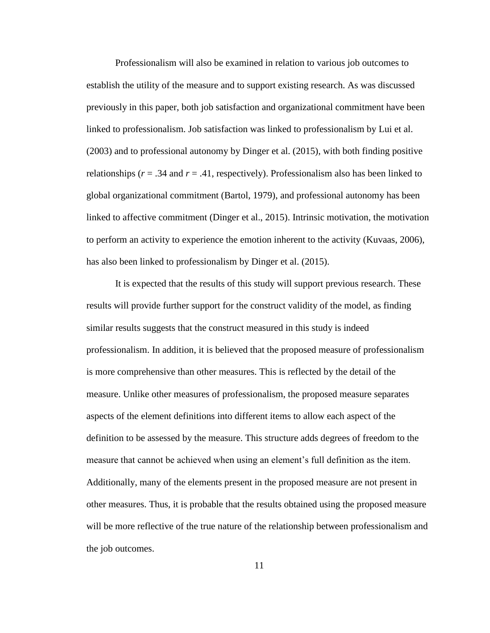Professionalism will also be examined in relation to various job outcomes to establish the utility of the measure and to support existing research. As was discussed previously in this paper, both job satisfaction and organizational commitment have been linked to professionalism. Job satisfaction was linked to professionalism by Lui et al. (2003) and to professional autonomy by Dinger et al. (2015), with both finding positive relationships ( $r = .34$  and  $r = .41$ , respectively). Professionalism also has been linked to global organizational commitment (Bartol, 1979), and professional autonomy has been linked to affective commitment (Dinger et al., 2015). Intrinsic motivation, the motivation to perform an activity to experience the emotion inherent to the activity (Kuvaas, 2006), has also been linked to professionalism by Dinger et al. (2015).

It is expected that the results of this study will support previous research. These results will provide further support for the construct validity of the model, as finding similar results suggests that the construct measured in this study is indeed professionalism. In addition, it is believed that the proposed measure of professionalism is more comprehensive than other measures. This is reflected by the detail of the measure. Unlike other measures of professionalism, the proposed measure separates aspects of the element definitions into different items to allow each aspect of the definition to be assessed by the measure. This structure adds degrees of freedom to the measure that cannot be achieved when using an element's full definition as the item. Additionally, many of the elements present in the proposed measure are not present in other measures. Thus, it is probable that the results obtained using the proposed measure will be more reflective of the true nature of the relationship between professionalism and the job outcomes.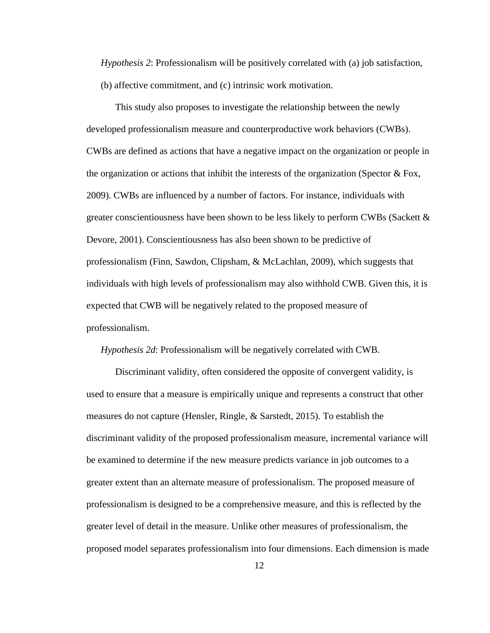*Hypothesis 2*: Professionalism will be positively correlated with (a) job satisfaction, (b) affective commitment, and (c) intrinsic work motivation.

This study also proposes to investigate the relationship between the newly developed professionalism measure and counterproductive work behaviors (CWBs). CWBs are defined as actions that have a negative impact on the organization or people in the organization or actions that inhibit the interests of the organization (Spector  $\&$  Fox, 2009). CWBs are influenced by a number of factors. For instance, individuals with greater conscientiousness have been shown to be less likely to perform CWBs (Sackett  $\&$ Devore, 2001). Conscientiousness has also been shown to be predictive of professionalism (Finn, Sawdon, Clipsham, & McLachlan, 2009), which suggests that individuals with high levels of professionalism may also withhold CWB. Given this, it is expected that CWB will be negatively related to the proposed measure of professionalism.

*Hypothesis 2d*: Professionalism will be negatively correlated with CWB.

Discriminant validity, often considered the opposite of convergent validity, is used to ensure that a measure is empirically unique and represents a construct that other measures do not capture (Hensler, Ringle, & Sarstedt, 2015). To establish the discriminant validity of the proposed professionalism measure, incremental variance will be examined to determine if the new measure predicts variance in job outcomes to a greater extent than an alternate measure of professionalism. The proposed measure of professionalism is designed to be a comprehensive measure, and this is reflected by the greater level of detail in the measure. Unlike other measures of professionalism, the proposed model separates professionalism into four dimensions. Each dimension is made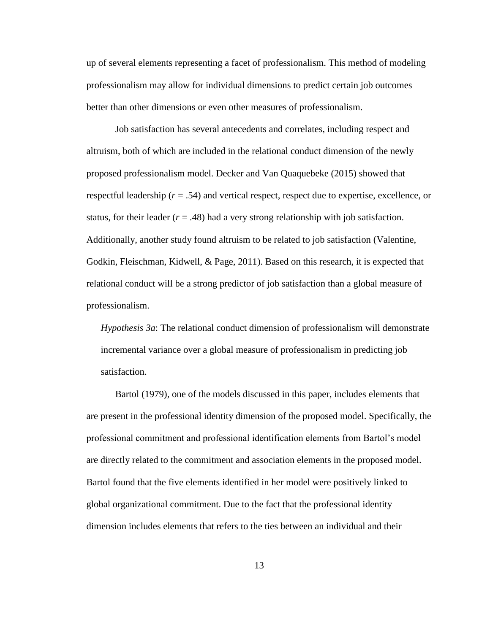up of several elements representing a facet of professionalism. This method of modeling professionalism may allow for individual dimensions to predict certain job outcomes better than other dimensions or even other measures of professionalism.

Job satisfaction has several antecedents and correlates, including respect and altruism, both of which are included in the relational conduct dimension of the newly proposed professionalism model. Decker and Van Quaquebeke (2015) showed that respectful leadership (*r* = .54) and vertical respect, respect due to expertise, excellence, or status, for their leader  $(r = .48)$  had a very strong relationship with job satisfaction. Additionally, another study found altruism to be related to job satisfaction (Valentine, Godkin, Fleischman, Kidwell, & Page, 2011). Based on this research, it is expected that relational conduct will be a strong predictor of job satisfaction than a global measure of professionalism.

*Hypothesis 3a*: The relational conduct dimension of professionalism will demonstrate incremental variance over a global measure of professionalism in predicting job satisfaction.

Bartol (1979), one of the models discussed in this paper, includes elements that are present in the professional identity dimension of the proposed model. Specifically, the professional commitment and professional identification elements from Bartol's model are directly related to the commitment and association elements in the proposed model. Bartol found that the five elements identified in her model were positively linked to global organizational commitment. Due to the fact that the professional identity dimension includes elements that refers to the ties between an individual and their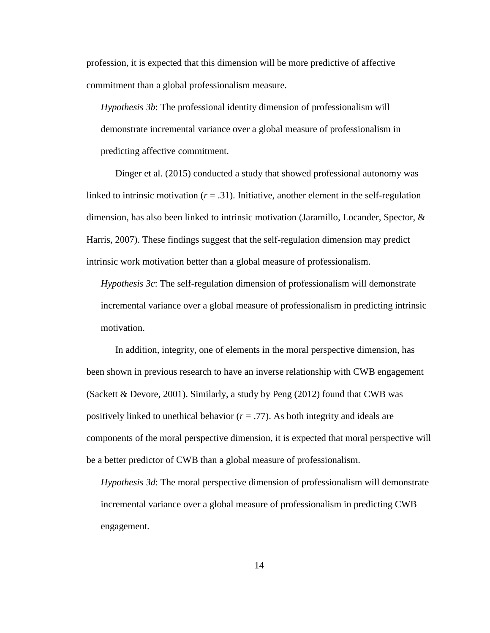profession, it is expected that this dimension will be more predictive of affective commitment than a global professionalism measure.

*Hypothesis 3b*: The professional identity dimension of professionalism will demonstrate incremental variance over a global measure of professionalism in predicting affective commitment.

Dinger et al. (2015) conducted a study that showed professional autonomy was linked to intrinsic motivation  $(r = .31)$ . Initiative, another element in the self-regulation dimension, has also been linked to intrinsic motivation (Jaramillo, Locander, Spector, & Harris, 2007). These findings suggest that the self-regulation dimension may predict intrinsic work motivation better than a global measure of professionalism.

*Hypothesis 3c*: The self-regulation dimension of professionalism will demonstrate incremental variance over a global measure of professionalism in predicting intrinsic motivation.

In addition, integrity, one of elements in the moral perspective dimension, has been shown in previous research to have an inverse relationship with CWB engagement (Sackett & Devore, 2001). Similarly, a study by Peng  $(2012)$  found that CWB was positively linked to unethical behavior (*r* = .77). As both integrity and ideals are components of the moral perspective dimension, it is expected that moral perspective will be a better predictor of CWB than a global measure of professionalism.

*Hypothesis 3d*: The moral perspective dimension of professionalism will demonstrate incremental variance over a global measure of professionalism in predicting CWB engagement.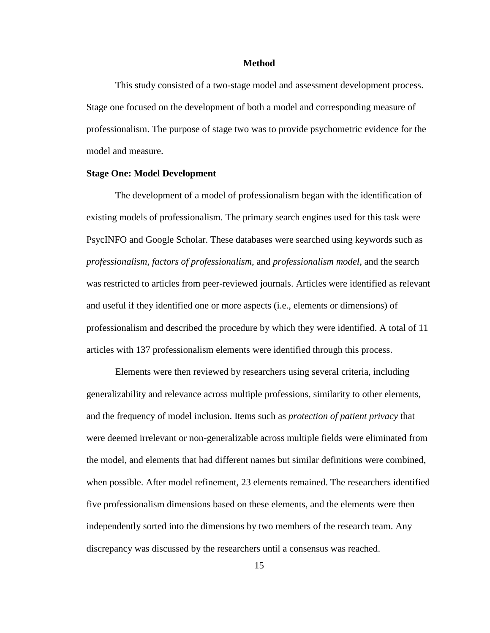#### **Method**

<span id="page-21-0"></span>This study consisted of a two-stage model and assessment development process. Stage one focused on the development of both a model and corresponding measure of professionalism. The purpose of stage two was to provide psychometric evidence for the model and measure.

#### <span id="page-21-1"></span>**Stage One: Model Development**

The development of a model of professionalism began with the identification of existing models of professionalism. The primary search engines used for this task were PsycINFO and Google Scholar. These databases were searched using keywords such as *professionalism*, *factors of professionalism*, and *professionalism model*, and the search was restricted to articles from peer-reviewed journals. Articles were identified as relevant and useful if they identified one or more aspects (i.e., elements or dimensions) of professionalism and described the procedure by which they were identified. A total of 11 articles with 137 professionalism elements were identified through this process.

Elements were then reviewed by researchers using several criteria, including generalizability and relevance across multiple professions, similarity to other elements, and the frequency of model inclusion. Items such as *protection of patient privacy* that were deemed irrelevant or non-generalizable across multiple fields were eliminated from the model, and elements that had different names but similar definitions were combined, when possible. After model refinement, 23 elements remained. The researchers identified five professionalism dimensions based on these elements, and the elements were then independently sorted into the dimensions by two members of the research team. Any discrepancy was discussed by the researchers until a consensus was reached.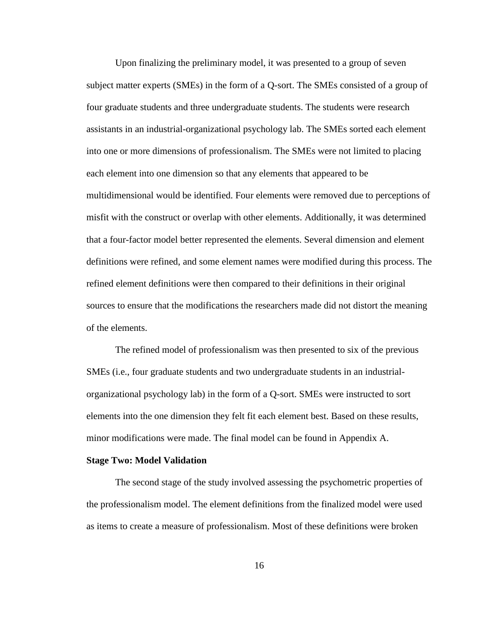Upon finalizing the preliminary model, it was presented to a group of seven subject matter experts (SMEs) in the form of a Q-sort. The SMEs consisted of a group of four graduate students and three undergraduate students. The students were research assistants in an industrial-organizational psychology lab. The SMEs sorted each element into one or more dimensions of professionalism. The SMEs were not limited to placing each element into one dimension so that any elements that appeared to be multidimensional would be identified. Four elements were removed due to perceptions of misfit with the construct or overlap with other elements. Additionally, it was determined that a four-factor model better represented the elements. Several dimension and element definitions were refined, and some element names were modified during this process. The refined element definitions were then compared to their definitions in their original sources to ensure that the modifications the researchers made did not distort the meaning of the elements.

The refined model of professionalism was then presented to six of the previous SMEs (i.e., four graduate students and two undergraduate students in an industrialorganizational psychology lab) in the form of a Q-sort. SMEs were instructed to sort elements into the one dimension they felt fit each element best. Based on these results, minor modifications were made. The final model can be found in Appendix A.

#### <span id="page-22-0"></span>**Stage Two: Model Validation**

The second stage of the study involved assessing the psychometric properties of the professionalism model. The element definitions from the finalized model were used as items to create a measure of professionalism. Most of these definitions were broken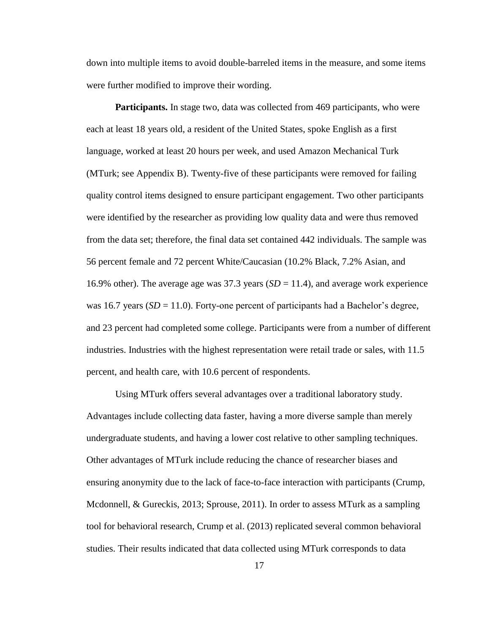down into multiple items to avoid double-barreled items in the measure, and some items were further modified to improve their wording.

**Participants.** In stage two, data was collected from 469 participants, who were each at least 18 years old, a resident of the United States, spoke English as a first language, worked at least 20 hours per week, and used Amazon Mechanical Turk (MTurk; see Appendix B). Twenty-five of these participants were removed for failing quality control items designed to ensure participant engagement. Two other participants were identified by the researcher as providing low quality data and were thus removed from the data set; therefore, the final data set contained 442 individuals. The sample was 56 percent female and 72 percent White/Caucasian (10.2% Black, 7.2% Asian, and 16.9% other). The average age was 37.3 years  $(SD = 11.4)$ , and average work experience was 16.7 years  $(SD = 11.0)$ . Forty-one percent of participants had a Bachelor's degree, and 23 percent had completed some college. Participants were from a number of different industries. Industries with the highest representation were retail trade or sales, with 11.5 percent, and health care, with 10.6 percent of respondents.

Using MTurk offers several advantages over a traditional laboratory study. Advantages include collecting data faster, having a more diverse sample than merely undergraduate students, and having a lower cost relative to other sampling techniques. Other advantages of MTurk include reducing the chance of researcher biases and ensuring anonymity due to the lack of face-to-face interaction with participants (Crump, Mcdonnell, & Gureckis, 2013; Sprouse, 2011). In order to assess MTurk as a sampling tool for behavioral research, Crump et al. (2013) replicated several common behavioral studies. Their results indicated that data collected using MTurk corresponds to data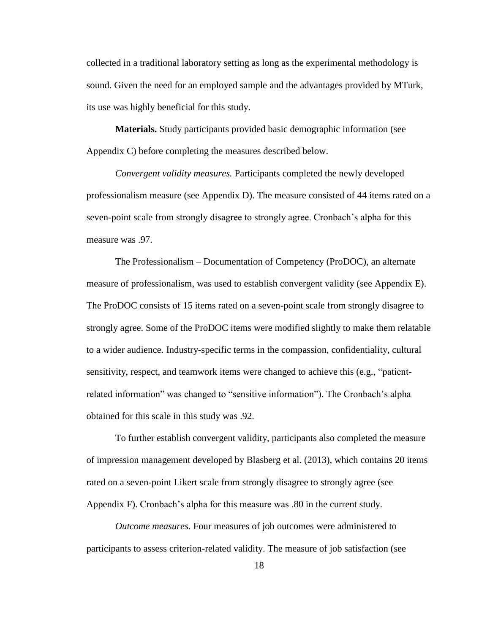collected in a traditional laboratory setting as long as the experimental methodology is sound. Given the need for an employed sample and the advantages provided by MTurk, its use was highly beneficial for this study.

**Materials.** Study participants provided basic demographic information (see Appendix C) before completing the measures described below.

*Convergent validity measures.* Participants completed the newly developed professionalism measure (see Appendix D). The measure consisted of 44 items rated on a seven-point scale from strongly disagree to strongly agree. Cronbach's alpha for this measure was .97.

The Professionalism – Documentation of Competency (ProDOC), an alternate measure of professionalism, was used to establish convergent validity (see Appendix E). The ProDOC consists of 15 items rated on a seven-point scale from strongly disagree to strongly agree. Some of the ProDOC items were modified slightly to make them relatable to a wider audience. Industry-specific terms in the compassion, confidentiality, cultural sensitivity, respect, and teamwork items were changed to achieve this (e.g., "patientrelated information" was changed to "sensitive information"). The Cronbach's alpha obtained for this scale in this study was .92.

To further establish convergent validity, participants also completed the measure of impression management developed by Blasberg et al. (2013), which contains 20 items rated on a seven-point Likert scale from strongly disagree to strongly agree (see Appendix F). Cronbach's alpha for this measure was .80 in the current study.

*Outcome measures.* Four measures of job outcomes were administered to participants to assess criterion-related validity. The measure of job satisfaction (see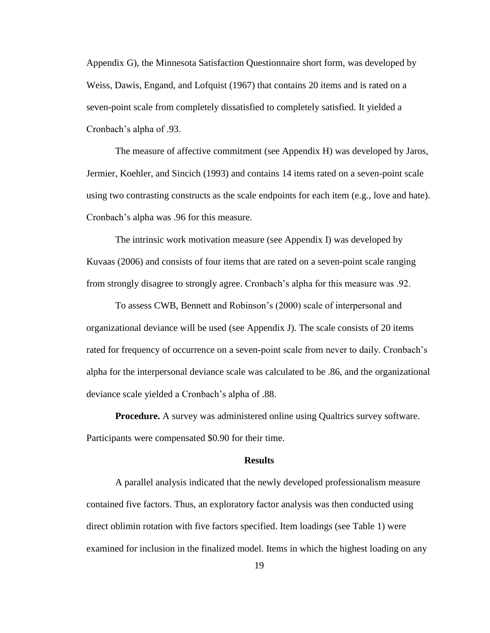Appendix G), the Minnesota Satisfaction Questionnaire short form, was developed by Weiss, Dawis, Engand, and Lofquist (1967) that contains 20 items and is rated on a seven-point scale from completely dissatisfied to completely satisfied. It yielded a Cronbach's alpha of .93.

The measure of affective commitment (see Appendix H) was developed by Jaros, Jermier, Koehler, and Sincich (1993) and contains 14 items rated on a seven-point scale using two contrasting constructs as the scale endpoints for each item (e.g., love and hate). Cronbach's alpha was .96 for this measure.

The intrinsic work motivation measure (see Appendix I) was developed by Kuvaas (2006) and consists of four items that are rated on a seven-point scale ranging from strongly disagree to strongly agree. Cronbach's alpha for this measure was .92.

To assess CWB, Bennett and Robinson's (2000) scale of interpersonal and organizational deviance will be used (see Appendix J). The scale consists of 20 items rated for frequency of occurrence on a seven-point scale from never to daily. Cronbach's alpha for the interpersonal deviance scale was calculated to be .86, and the organizational deviance scale yielded a Cronbach's alpha of .88.

**Procedure.** A survey was administered online using Qualtrics survey software. Participants were compensated \$0.90 for their time.

#### **Results**

<span id="page-25-0"></span>A parallel analysis indicated that the newly developed professionalism measure contained five factors. Thus, an exploratory factor analysis was then conducted using direct oblimin rotation with five factors specified. Item loadings (see Table 1) were examined for inclusion in the finalized model. Items in which the highest loading on any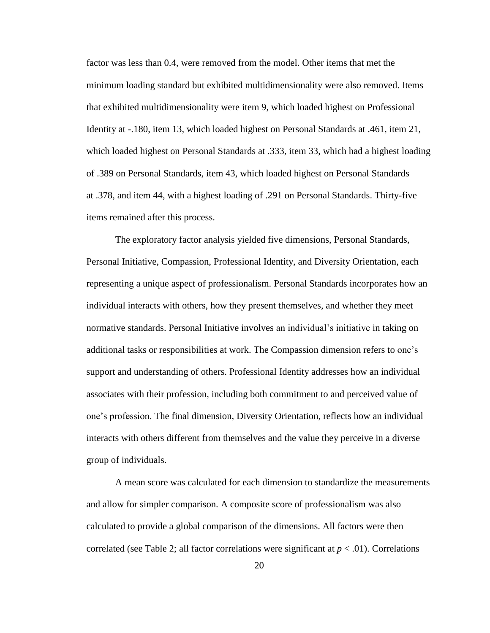factor was less than 0.4, were removed from the model. Other items that met the minimum loading standard but exhibited multidimensionality were also removed. Items that exhibited multidimensionality were item 9, which loaded highest on Professional Identity at -.180, item 13, which loaded highest on Personal Standards at .461, item 21, which loaded highest on Personal Standards at .333, item 33, which had a highest loading of .389 on Personal Standards, item 43, which loaded highest on Personal Standards at .378, and item 44, with a highest loading of .291 on Personal Standards. Thirty-five items remained after this process.

The exploratory factor analysis yielded five dimensions, Personal Standards, Personal Initiative, Compassion, Professional Identity, and Diversity Orientation, each representing a unique aspect of professionalism. Personal Standards incorporates how an individual interacts with others, how they present themselves, and whether they meet normative standards. Personal Initiative involves an individual's initiative in taking on additional tasks or responsibilities at work. The Compassion dimension refers to one's support and understanding of others. Professional Identity addresses how an individual associates with their profession, including both commitment to and perceived value of one's profession. The final dimension, Diversity Orientation, reflects how an individual interacts with others different from themselves and the value they perceive in a diverse group of individuals.

A mean score was calculated for each dimension to standardize the measurements and allow for simpler comparison. A composite score of professionalism was also calculated to provide a global comparison of the dimensions. All factors were then correlated (see Table 2; all factor correlations were significant at  $p < .01$ ). Correlations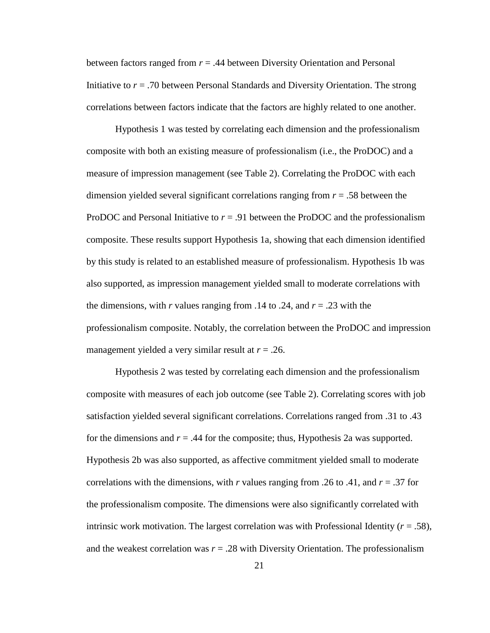between factors ranged from *r* = .44 between Diversity Orientation and Personal Initiative to  $r = .70$  between Personal Standards and Diversity Orientation. The strong correlations between factors indicate that the factors are highly related to one another.

Hypothesis 1 was tested by correlating each dimension and the professionalism composite with both an existing measure of professionalism (i.e., the ProDOC) and a measure of impression management (see Table 2). Correlating the ProDOC with each dimension yielded several significant correlations ranging from *r* = .58 between the ProDOC and Personal Initiative to *r* = .91 between the ProDOC and the professionalism composite. These results support Hypothesis 1a, showing that each dimension identified by this study is related to an established measure of professionalism. Hypothesis 1b was also supported, as impression management yielded small to moderate correlations with the dimensions, with *r* values ranging from .14 to .24, and  $r = .23$  with the professionalism composite. Notably, the correlation between the ProDOC and impression management yielded a very similar result at *r* = .26.

Hypothesis 2 was tested by correlating each dimension and the professionalism composite with measures of each job outcome (see Table 2). Correlating scores with job satisfaction yielded several significant correlations. Correlations ranged from .31 to .43 for the dimensions and  $r = .44$  for the composite; thus, Hypothesis 2a was supported. Hypothesis 2b was also supported, as affective commitment yielded small to moderate correlations with the dimensions, with *r* values ranging from .26 to .41, and *r* = .37 for the professionalism composite. The dimensions were also significantly correlated with intrinsic work motivation. The largest correlation was with Professional Identity  $(r = .58)$ , and the weakest correlation was  $r = .28$  with Diversity Orientation. The professionalism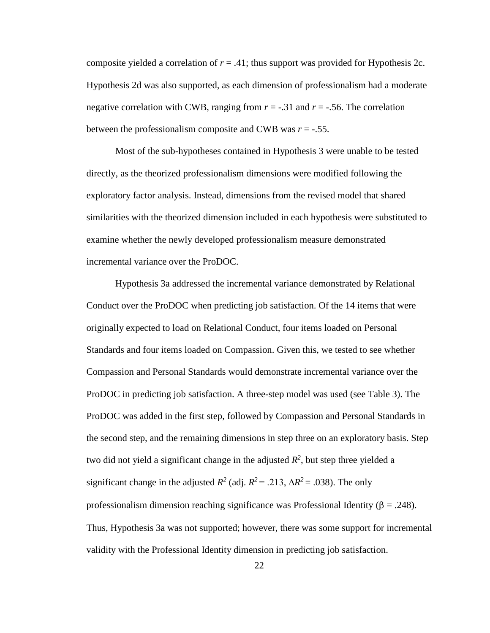composite yielded a correlation of  $r = .41$ ; thus support was provided for Hypothesis 2c. Hypothesis 2d was also supported, as each dimension of professionalism had a moderate negative correlation with CWB, ranging from  $r = -0.31$  and  $r = -0.56$ . The correlation between the professionalism composite and CWB was  $r = -0.55$ .

Most of the sub-hypotheses contained in Hypothesis 3 were unable to be tested directly, as the theorized professionalism dimensions were modified following the exploratory factor analysis. Instead, dimensions from the revised model that shared similarities with the theorized dimension included in each hypothesis were substituted to examine whether the newly developed professionalism measure demonstrated incremental variance over the ProDOC.

Hypothesis 3a addressed the incremental variance demonstrated by Relational Conduct over the ProDOC when predicting job satisfaction. Of the 14 items that were originally expected to load on Relational Conduct, four items loaded on Personal Standards and four items loaded on Compassion. Given this, we tested to see whether Compassion and Personal Standards would demonstrate incremental variance over the ProDOC in predicting job satisfaction. A three-step model was used (see Table 3). The ProDOC was added in the first step, followed by Compassion and Personal Standards in the second step, and the remaining dimensions in step three on an exploratory basis. Step two did not yield a significant change in the adjusted  $R^2$ , but step three yielded a significant change in the adjusted  $R^2$  (adj.  $R^2 = .213$ ,  $\Delta R^2 = .038$ ). The only professionalism dimension reaching significance was Professional Identity ( $\beta$  = .248). Thus, Hypothesis 3a was not supported; however, there was some support for incremental validity with the Professional Identity dimension in predicting job satisfaction.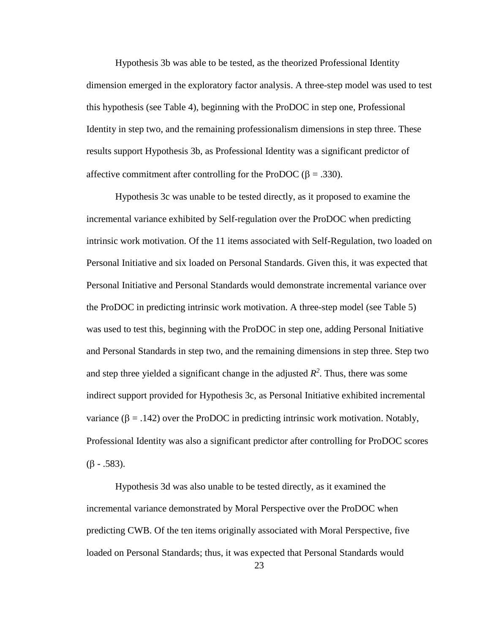Hypothesis 3b was able to be tested, as the theorized Professional Identity dimension emerged in the exploratory factor analysis. A three-step model was used to test this hypothesis (see Table 4), beginning with the ProDOC in step one, Professional Identity in step two, and the remaining professionalism dimensions in step three. These results support Hypothesis 3b, as Professional Identity was a significant predictor of affective commitment after controlling for the ProDOC ( $\beta = .330$ ).

Hypothesis 3c was unable to be tested directly, as it proposed to examine the incremental variance exhibited by Self-regulation over the ProDOC when predicting intrinsic work motivation. Of the 11 items associated with Self-Regulation, two loaded on Personal Initiative and six loaded on Personal Standards. Given this, it was expected that Personal Initiative and Personal Standards would demonstrate incremental variance over the ProDOC in predicting intrinsic work motivation. A three-step model (see Table 5) was used to test this, beginning with the ProDOC in step one, adding Personal Initiative and Personal Standards in step two, and the remaining dimensions in step three. Step two and step three yielded a significant change in the adjusted  $R^2$ . Thus, there was some indirect support provided for Hypothesis 3c, as Personal Initiative exhibited incremental variance ( $\beta$  = .142) over the ProDOC in predicting intrinsic work motivation. Notably, Professional Identity was also a significant predictor after controlling for ProDOC scores  $(\beta - .583)$ .

Hypothesis 3d was also unable to be tested directly, as it examined the incremental variance demonstrated by Moral Perspective over the ProDOC when predicting CWB. Of the ten items originally associated with Moral Perspective, five loaded on Personal Standards; thus, it was expected that Personal Standards would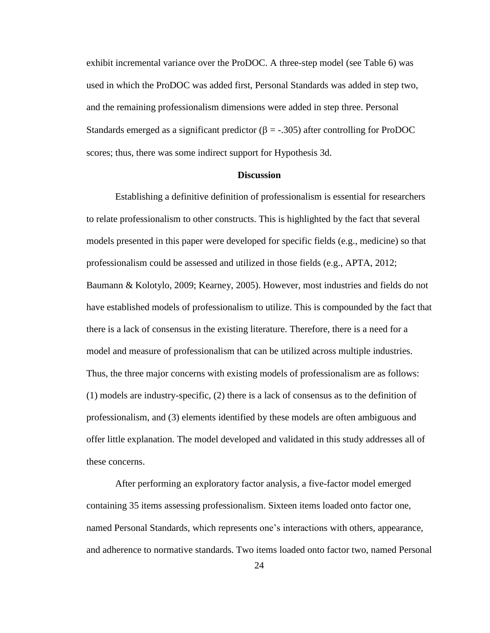exhibit incremental variance over the ProDOC. A three-step model (see Table 6) was used in which the ProDOC was added first, Personal Standards was added in step two, and the remaining professionalism dimensions were added in step three. Personal Standards emerged as a significant predictor ( $\beta = -0.305$ ) after controlling for ProDOC scores; thus, there was some indirect support for Hypothesis 3d.

#### **Discussion**

<span id="page-30-0"></span>Establishing a definitive definition of professionalism is essential for researchers to relate professionalism to other constructs. This is highlighted by the fact that several models presented in this paper were developed for specific fields (e.g., medicine) so that professionalism could be assessed and utilized in those fields (e.g., APTA, 2012; Baumann & Kolotylo, 2009; Kearney, 2005). However, most industries and fields do not have established models of professionalism to utilize. This is compounded by the fact that there is a lack of consensus in the existing literature. Therefore, there is a need for a model and measure of professionalism that can be utilized across multiple industries. Thus, the three major concerns with existing models of professionalism are as follows: (1) models are industry-specific, (2) there is a lack of consensus as to the definition of professionalism, and (3) elements identified by these models are often ambiguous and offer little explanation. The model developed and validated in this study addresses all of these concerns.

After performing an exploratory factor analysis, a five-factor model emerged containing 35 items assessing professionalism. Sixteen items loaded onto factor one, named Personal Standards, which represents one's interactions with others, appearance, and adherence to normative standards. Two items loaded onto factor two, named Personal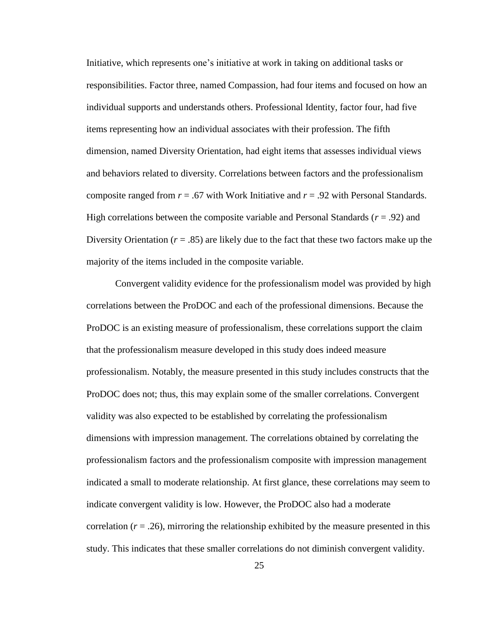Initiative, which represents one's initiative at work in taking on additional tasks or responsibilities. Factor three, named Compassion, had four items and focused on how an individual supports and understands others. Professional Identity, factor four, had five items representing how an individual associates with their profession. The fifth dimension, named Diversity Orientation, had eight items that assesses individual views and behaviors related to diversity. Correlations between factors and the professionalism composite ranged from *r* = .67 with Work Initiative and *r* = .92 with Personal Standards. High correlations between the composite variable and Personal Standards (*r* = .92) and Diversity Orientation  $(r = .85)$  are likely due to the fact that these two factors make up the majority of the items included in the composite variable.

Convergent validity evidence for the professionalism model was provided by high correlations between the ProDOC and each of the professional dimensions. Because the ProDOC is an existing measure of professionalism, these correlations support the claim that the professionalism measure developed in this study does indeed measure professionalism. Notably, the measure presented in this study includes constructs that the ProDOC does not; thus, this may explain some of the smaller correlations. Convergent validity was also expected to be established by correlating the professionalism dimensions with impression management. The correlations obtained by correlating the professionalism factors and the professionalism composite with impression management indicated a small to moderate relationship. At first glance, these correlations may seem to indicate convergent validity is low. However, the ProDOC also had a moderate correlation  $(r = .26)$ , mirroring the relationship exhibited by the measure presented in this study. This indicates that these smaller correlations do not diminish convergent validity.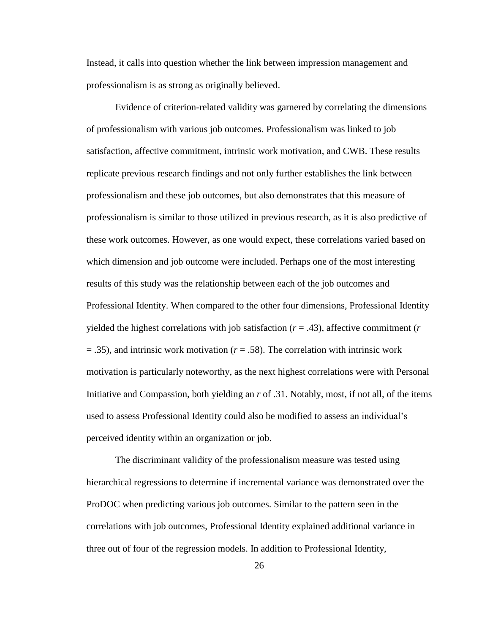Instead, it calls into question whether the link between impression management and professionalism is as strong as originally believed.

Evidence of criterion-related validity was garnered by correlating the dimensions of professionalism with various job outcomes. Professionalism was linked to job satisfaction, affective commitment, intrinsic work motivation, and CWB. These results replicate previous research findings and not only further establishes the link between professionalism and these job outcomes, but also demonstrates that this measure of professionalism is similar to those utilized in previous research, as it is also predictive of these work outcomes. However, as one would expect, these correlations varied based on which dimension and job outcome were included. Perhaps one of the most interesting results of this study was the relationship between each of the job outcomes and Professional Identity. When compared to the other four dimensions, Professional Identity yielded the highest correlations with job satisfaction  $(r = .43)$ , affective commitment  $(r \cdot r)$ = .35), and intrinsic work motivation (*r* = .58). The correlation with intrinsic work motivation is particularly noteworthy, as the next highest correlations were with Personal Initiative and Compassion, both yielding an *r* of .31. Notably, most, if not all, of the items used to assess Professional Identity could also be modified to assess an individual's perceived identity within an organization or job.

The discriminant validity of the professionalism measure was tested using hierarchical regressions to determine if incremental variance was demonstrated over the ProDOC when predicting various job outcomes. Similar to the pattern seen in the correlations with job outcomes, Professional Identity explained additional variance in three out of four of the regression models. In addition to Professional Identity,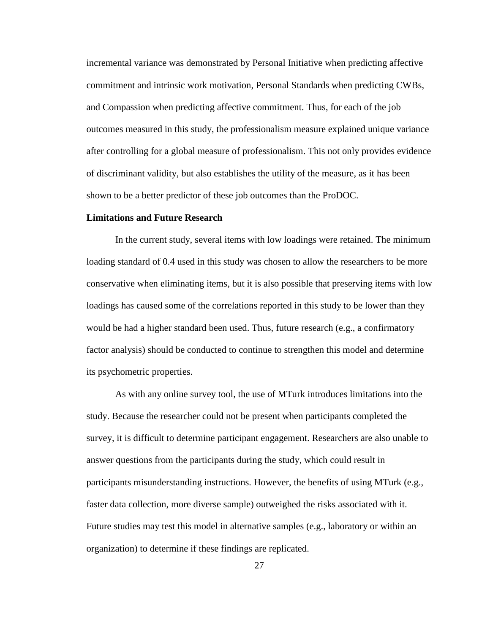incremental variance was demonstrated by Personal Initiative when predicting affective commitment and intrinsic work motivation, Personal Standards when predicting CWBs, and Compassion when predicting affective commitment. Thus, for each of the job outcomes measured in this study, the professionalism measure explained unique variance after controlling for a global measure of professionalism. This not only provides evidence of discriminant validity, but also establishes the utility of the measure, as it has been shown to be a better predictor of these job outcomes than the ProDOC.

#### <span id="page-33-0"></span>**Limitations and Future Research**

In the current study, several items with low loadings were retained. The minimum loading standard of 0.4 used in this study was chosen to allow the researchers to be more conservative when eliminating items, but it is also possible that preserving items with low loadings has caused some of the correlations reported in this study to be lower than they would be had a higher standard been used. Thus, future research (e.g., a confirmatory factor analysis) should be conducted to continue to strengthen this model and determine its psychometric properties.

As with any online survey tool, the use of MTurk introduces limitations into the study. Because the researcher could not be present when participants completed the survey, it is difficult to determine participant engagement. Researchers are also unable to answer questions from the participants during the study, which could result in participants misunderstanding instructions. However, the benefits of using MTurk (e.g., faster data collection, more diverse sample) outweighed the risks associated with it. Future studies may test this model in alternative samples (e.g., laboratory or within an organization) to determine if these findings are replicated.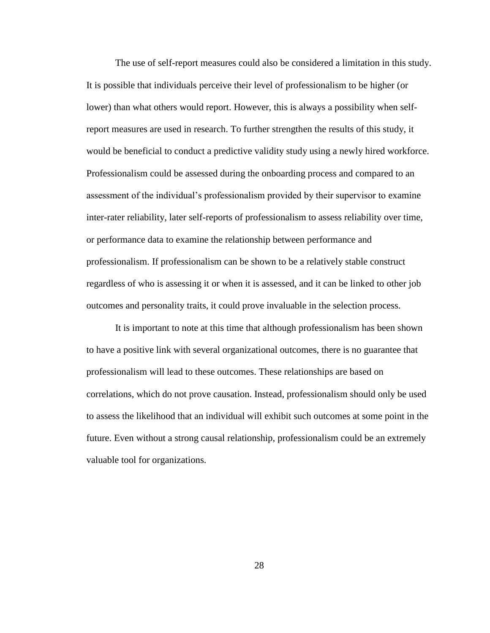The use of self-report measures could also be considered a limitation in this study. It is possible that individuals perceive their level of professionalism to be higher (or lower) than what others would report. However, this is always a possibility when selfreport measures are used in research. To further strengthen the results of this study, it would be beneficial to conduct a predictive validity study using a newly hired workforce. Professionalism could be assessed during the onboarding process and compared to an assessment of the individual's professionalism provided by their supervisor to examine inter-rater reliability, later self-reports of professionalism to assess reliability over time, or performance data to examine the relationship between performance and professionalism. If professionalism can be shown to be a relatively stable construct regardless of who is assessing it or when it is assessed, and it can be linked to other job outcomes and personality traits, it could prove invaluable in the selection process.

It is important to note at this time that although professionalism has been shown to have a positive link with several organizational outcomes, there is no guarantee that professionalism will lead to these outcomes. These relationships are based on correlations, which do not prove causation. Instead, professionalism should only be used to assess the likelihood that an individual will exhibit such outcomes at some point in the future. Even without a strong causal relationship, professionalism could be an extremely valuable tool for organizations.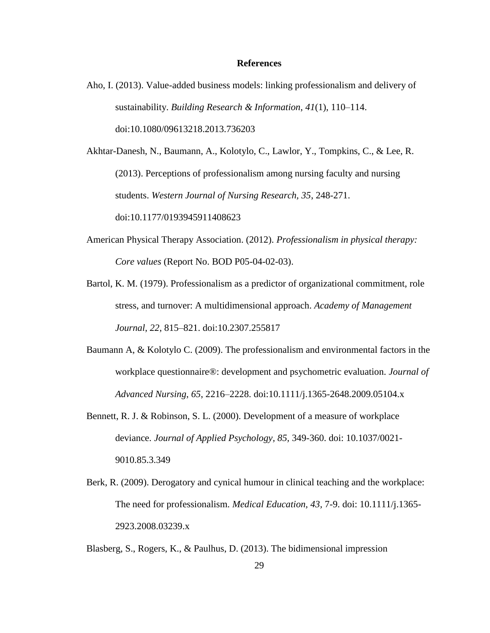#### **References**

<span id="page-35-0"></span>Aho, I. (2013). Value-added business models: linking professionalism and delivery of sustainability. *Building Research & Information*, *41*(1), 110–114. doi:10.1080/09613218.2013.736203

Akhtar-Danesh, N., Baumann, A., Kolotylo, C., Lawlor, Y., Tompkins, C., & Lee, R. (2013). Perceptions of professionalism among nursing faculty and nursing students. *Western Journal of Nursing Research, 35*, 248-271. doi:10.1177/0193945911408623

American Physical Therapy Association. (2012). *Professionalism in physical therapy: Core values* (Report No. BOD P05-04-02-03).

Bartol, K. M. (1979). Professionalism as a predictor of organizational commitment, role stress, and turnover: A multidimensional approach. *Academy of Management Journal*, *22*, 815–821. doi:10.2307.255817

- Baumann A, & Kolotylo C. (2009). The professionalism and environmental factors in the workplace questionnaire®: development and psychometric evaluation. *Journal of Advanced Nursing*, *65*, 2216–2228. doi:10.1111/j.1365-2648.2009.05104.x
- Bennett, R. J. & Robinson, S. L. (2000). Development of a measure of workplace deviance. *Journal of Applied Psychology, 85,* 349-360. doi: 10.1037/0021- 9010.85.3.349
- Berk, R. (2009). Derogatory and cynical humour in clinical teaching and the workplace: The need for professionalism. *Medical Education, 43,* 7-9. doi: 10.1111/j.1365- 2923.2008.03239.x

Blasberg, S., Rogers, K., & Paulhus, D. (2013). The bidimensional impression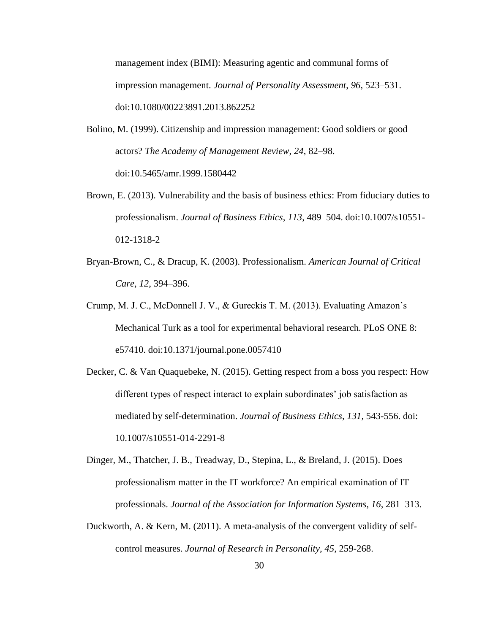management index (BIMI): Measuring agentic and communal forms of impression management. *Journal of Personality Assessment*, *96*, 523–531. doi:10.1080/00223891.2013.862252

- Bolino, M. (1999). Citizenship and impression management: Good soldiers or good actors? *The Academy of Management Review*, *24*, 82–98. doi:10.5465/amr.1999.1580442
- Brown, E. (2013). Vulnerability and the basis of business ethics: From fiduciary duties to professionalism. *Journal of Business Ethics*, *113*, 489–504. doi:10.1007/s10551- 012-1318-2
- Bryan-Brown, C., & Dracup, K. (2003). Professionalism. *American Journal of Critical Care*, *12*, 394–396.
- Crump, M. J. C., McDonnell J. V., & Gureckis T. M. (2013). Evaluating Amazon's Mechanical Turk as a tool for experimental behavioral research. PLoS ONE 8: e57410. doi:10.1371/journal.pone.0057410
- Decker, C. & Van Quaquebeke, N. (2015). Getting respect from a boss you respect: How different types of respect interact to explain subordinates' job satisfaction as mediated by self-determination. *Journal of Business Ethics, 131,* 543-556. doi: 10.1007/s10551-014-2291-8
- Dinger, M., Thatcher, J. B., Treadway, D., Stepina, L., & Breland, J. (2015). Does professionalism matter in the IT workforce? An empirical examination of IT professionals. *Journal of the Association for Information Systems*, *16*, 281–313.
- Duckworth, A. & Kern, M. (2011). A meta-analysis of the convergent validity of selfcontrol measures. *Journal of Research in Personality, 45*, 259-268.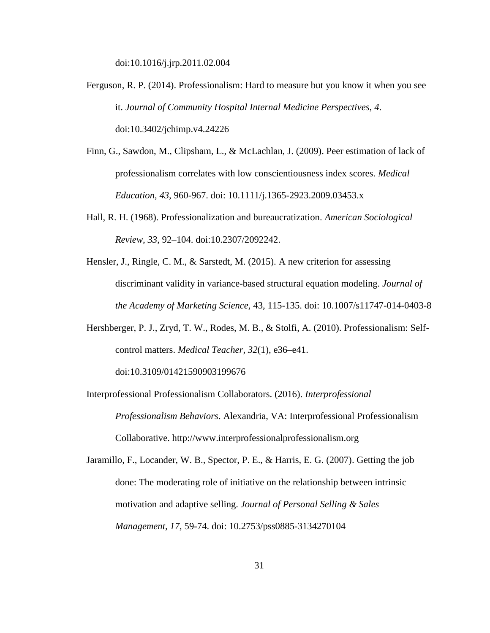doi:10.1016/j.jrp.2011.02.004

- Ferguson, R. P. (2014). Professionalism: Hard to measure but you know it when you see it. *Journal of Community Hospital Internal Medicine Perspectives*, *4*. doi:10.3402/jchimp.v4.24226
- Finn, G., Sawdon, M., Clipsham, L., & McLachlan, J. (2009). Peer estimation of lack of professionalism correlates with low conscientiousness index scores. *Medical Education, 43,* 960-967. doi: 10.1111/j.1365-2923.2009.03453.x
- Hall, R. H. (1968). Professionalization and bureaucratization. *American Sociological Review, 33*, 92–104. doi:10.2307/2092242.
- Hensler, J., Ringle, C. M., & Sarstedt, M. (2015). A new criterion for assessing discriminant validity in variance-based structural equation modeling. *Journal of the Academy of Marketing Science,* 43, 115-135. doi: 10.1007/s11747-014-0403-8
- Hershberger, P. J., Zryd, T. W., Rodes, M. B., & Stolfi, A. (2010). Professionalism: Selfcontrol matters. *Medical Teacher*, *32*(1), e36–e41. doi:10.3109/01421590903199676
- Interprofessional Professionalism Collaborators. (2016). *Interprofessional Professionalism Behaviors*. Alexandria, VA: Interprofessional Professionalism Collaborative. http://www.interprofessionalprofessionalism.org
- Jaramillo, F., Locander, W. B., Spector, P. E., & Harris, E. G. (2007). Getting the job done: The moderating role of initiative on the relationship between intrinsic motivation and adaptive selling. *Journal of Personal Selling & Sales Management, 17,* 59-74. doi: 10.2753/pss0885-3134270104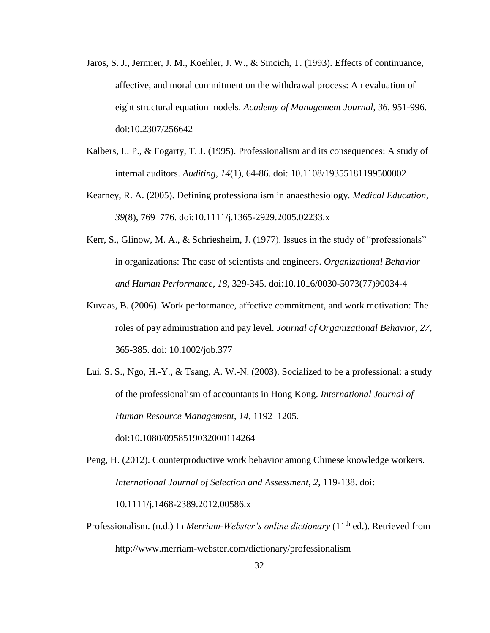- Jaros, S. J., Jermier, J. M., Koehler, J. W., & Sincich, T. (1993). Effects of continuance, affective, and moral commitment on the withdrawal process: An evaluation of eight structural equation models. *Academy of Management Journal, 36*, 951-996. doi:10.2307/256642
- Kalbers, L. P., & Fogarty, T. J. (1995). Professionalism and its consequences: A study of internal auditors. *Auditing, 14*(1), 64-86. doi: 10.1108/19355181199500002
- Kearney, R. A. (2005). Defining professionalism in anaesthesiology. *Medical Education*, *39*(8), 769–776. doi:10.1111/j.1365-2929.2005.02233.x
- Kerr, S., Glinow, M. A., & Schriesheim, J. (1977). Issues in the study of "professionals" in organizations: The case of scientists and engineers. *Organizational Behavior and Human Performance, 18,* 329-345. doi:10.1016/0030-5073(77)90034-4
- Kuvaas, B. (2006). Work performance, affective commitment, and work motivation: The roles of pay administration and pay level. *Journal of Organizational Behavior, 27*, 365-385. doi: 10.1002/job.377
- Lui, S. S., Ngo, H.-Y., & Tsang, A. W.-N. (2003). Socialized to be a professional: a study of the professionalism of accountants in Hong Kong. *International Journal of Human Resource Management*, *14*, 1192–1205.

doi:10.1080/0958519032000114264

- Peng, H. (2012). Counterproductive work behavior among Chinese knowledge workers. *International Journal of Selection and Assessment, 2,* 119-138. doi: 10.1111/j.1468-2389.2012.00586.x
- Professionalism. (n.d.) In *Merriam-Webster's online dictionary* (11<sup>th</sup> ed.). Retrieved from http://www.merriam-webster.com/dictionary/professionalism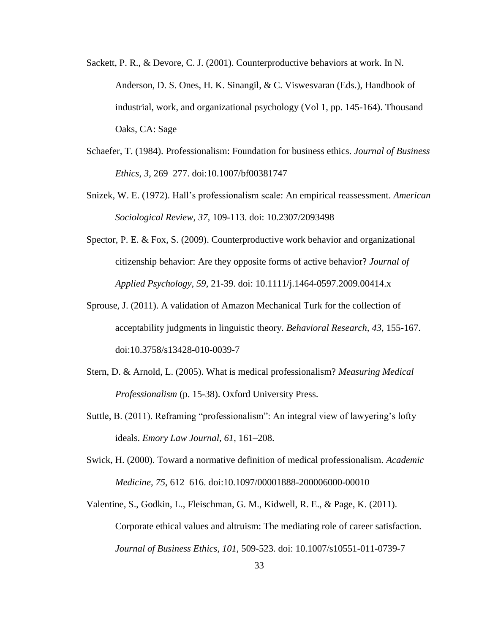- Sackett, P. R., & Devore, C. J. (2001). Counterproductive behaviors at work. In N. Anderson, D. S. Ones, H. K. Sinangil, & C. Viswesvaran (Eds.), Handbook of industrial, work, and organizational psychology (Vol 1, pp. 145-164). Thousand Oaks, CA: Sage
- Schaefer, T. (1984). Professionalism: Foundation for business ethics. *Journal of Business Ethics*, *3*, 269–277. doi:10.1007/bf00381747
- Snizek, W. E. (1972). Hall's professionalism scale: An empirical reassessment. *American Sociological Review, 37,* 109-113. doi: 10.2307/2093498
- Spector, P. E. & Fox, S. (2009). Counterproductive work behavior and organizational citizenship behavior: Are they opposite forms of active behavior? *Journal of Applied Psychology, 59*, 21-39. doi: 10.1111/j.1464-0597.2009.00414.x
- Sprouse, J. (2011). A validation of Amazon Mechanical Turk for the collection of acceptability judgments in linguistic theory. *Behavioral Research, 43*, 155-167. doi:10.3758/s13428-010-0039-7
- Stern, D. & Arnold, L. (2005). What is medical professionalism? *Measuring Medical Professionalism* (p. 15-38). Oxford University Press.
- Suttle, B. (2011). Reframing "professionalism": An integral view of lawyering's lofty ideals. *Emory Law Journal*, *61*, 161–208.
- Swick, H. (2000). Toward a normative definition of medical professionalism. *Academic Medicine*, *75*, 612–616. doi:10.1097/00001888-200006000-00010
- Valentine, S., Godkin, L., Fleischman, G. M., Kidwell, R. E., & Page, K. (2011). Corporate ethical values and altruism: The mediating role of career satisfaction. *Journal of Business Ethics, 101,* 509-523. doi: 10.1007/s10551-011-0739-7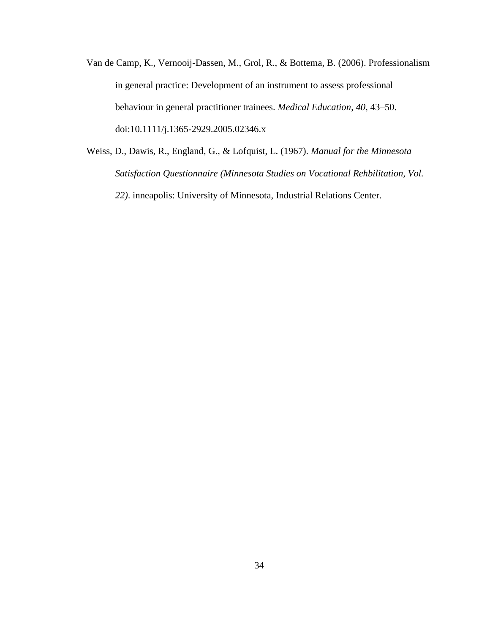- Van de Camp, K., Vernooij-Dassen, M., Grol, R., & Bottema, B. (2006). Professionalism in general practice: Development of an instrument to assess professional behaviour in general practitioner trainees. *Medical Education*, *40*, 43–50. doi:10.1111/j.1365-2929.2005.02346.x
- Weiss, D., Dawis, R., England, G., & Lofquist, L. (1967). *Manual for the Minnesota Satisfaction Questionnaire (Minnesota Studies on Vocational Rehbilitation, Vol. 22)*. inneapolis: University of Minnesota, Industrial Relations Center.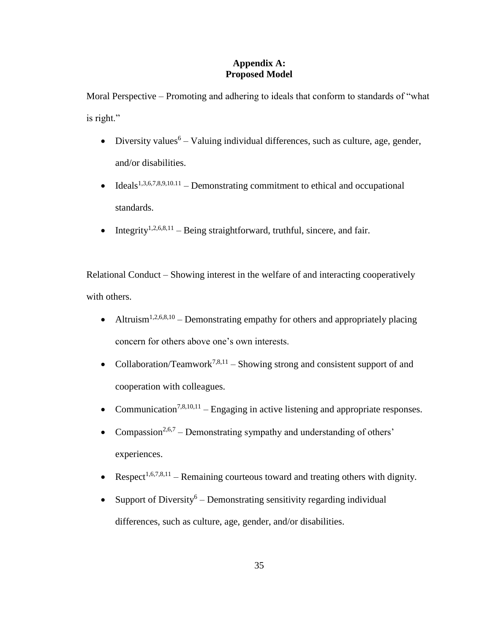#### **Appendix A: Proposed Model**

<span id="page-41-0"></span>Moral Perspective – Promoting and adhering to ideals that conform to standards of "what is right."

- Diversity values<sup>6</sup> Valuing individual differences, such as culture, age, gender, and/or disabilities.
- Ideals<sup>1,3,6,7,8,9,10.11</sup> Demonstrating commitment to ethical and occupational standards.
- Integrity<sup>1,2,6,8,11</sup> Being straightforward, truthful, sincere, and fair.

Relational Conduct – Showing interest in the welfare of and interacting cooperatively with others.

- Altruism<sup>1,2,6,8,10</sup> Demonstrating empathy for others and appropriately placing concern for others above one's own interests.
- Collaboration/Teamwork<sup>7,8,11</sup> Showing strong and consistent support of and cooperation with colleagues.
- Communication<sup>7,8,10,11</sup> Engaging in active listening and appropriate responses.
- Compassion<sup>2,6,7</sup> Demonstrating sympathy and understanding of others' experiences.
- Respect<sup>1,6,7,8,11</sup> Remaining courteous toward and treating others with dignity.
- Support of Diversity<sup>6</sup> Demonstrating sensitivity regarding individual differences, such as culture, age, gender, and/or disabilities.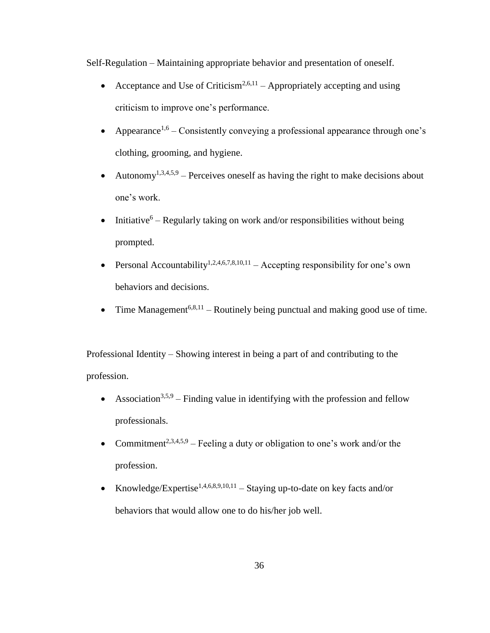Self-Regulation – Maintaining appropriate behavior and presentation of oneself.

- Acceptance and Use of Criticism<sup>2,6,11</sup> Appropriately accepting and using criticism to improve one's performance.
- Appearance<sup>1,6</sup> Consistently conveying a professional appearance through one's clothing, grooming, and hygiene.
- Autonomy<sup>1,3,4,5,9</sup> Perceives oneself as having the right to make decisions about one's work.
- Initiative<sup>6</sup> Regularly taking on work and/or responsibilities without being prompted.
- Personal Accountability<sup>1,2,4,6,7,8,10,11</sup> Accepting responsibility for one's own behaviors and decisions.
- Time Management<sup>6,8,11</sup> Routinely being punctual and making good use of time.

Professional Identity – Showing interest in being a part of and contributing to the profession.

- Association<sup>3,5,9</sup> Finding value in identifying with the profession and fellow professionals.
- Commitment<sup>2,3,4,5,9</sup> Feeling a duty or obligation to one's work and/or the profession.
- Knowledge/Expertise<sup>1,4,6,8,9,10,11</sup> Staying up-to-date on key facts and/or behaviors that would allow one to do his/her job well.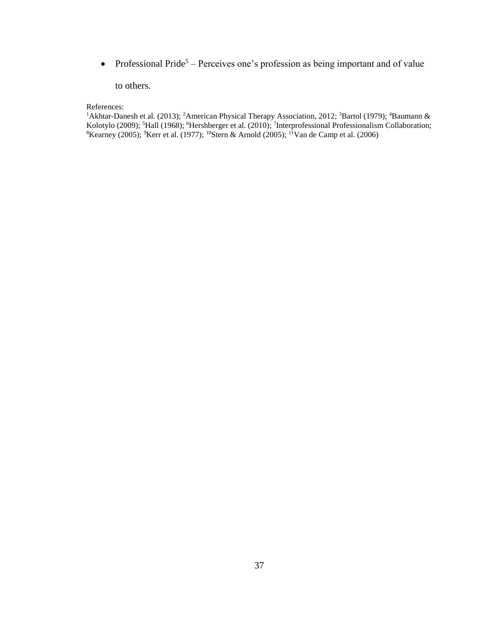• Professional Pride<sup>5</sup> – Perceives one's profession as being important and of value

#### to others.

#### References:

<sup>1</sup>Akhtar-Danesh et al. (2013); <sup>2</sup>American Physical Therapy Association, 2012; <sup>3</sup>Bartol (1979); <sup>4</sup>Baumann & Kolotylo (2009); <sup>5</sup>Hall (1968); <sup>6</sup>Hershberger et al. (2010); <sup>7</sup>Interprofessional Professionalism Collaboration; <sup>8</sup>Kearney (2005); <sup>9</sup>Kerr et al. (1977); <sup>10</sup>Stern & Arnold (2005); <sup>11</sup>Van de Camp et al. (2006)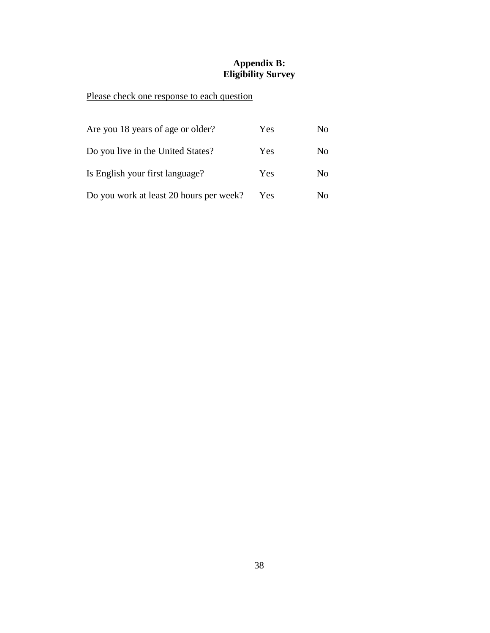#### **Appendix B: Eligibility Survey**

# <span id="page-44-0"></span>Please check one response to each question

| Are you 18 years of age or older?       | Yes | No             |
|-----------------------------------------|-----|----------------|
| Do you live in the United States?       | Yes | No             |
| Is English your first language?         | Yes | N <sub>0</sub> |
| Do you work at least 20 hours per week? | Yes | No.            |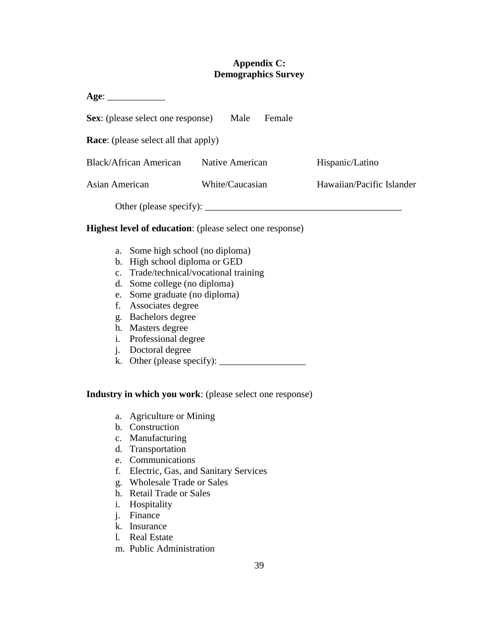#### **Appendix C: Demographics Survey**

<span id="page-45-0"></span>

| Age: ____________                                |                 |                           |
|--------------------------------------------------|-----------------|---------------------------|
| <b>Sex:</b> (please select one response)         | Male<br>Female  |                           |
| <b>Race:</b> (please select all that apply)      |                 |                           |
| <b>Black/African American</b>                    | Native American | Hispanic/Latino           |
| Asian American                                   | White/Caucasian | Hawaiian/Pacific Islander |
| Other (please specify): $\overline{\phantom{a}}$ |                 |                           |

#### **Highest level of education**: (please select one response)

- a. Some high school (no diploma)
- b. High school diploma or GED
- c. Trade/technical/vocational training
- d. Some college (no diploma)
- e. Some graduate (no diploma)
- f. Associates degree
- g. Bachelors degree
- h. Masters degree
- i. Professional degree
- j. Doctoral degree
- k. Other (please specify):  $\frac{1}{\sqrt{2\pi}}$

#### **Industry in which you work**: (please select one response)

- a. Agriculture or Mining
- b. Construction
- c. Manufacturing
- d. Transportation
- e. Communications
- f. Electric, Gas, and Sanitary Services
- g. Wholesale Trade or Sales
- h. Retail Trade or Sales
- i. Hospitality
- j. Finance
- k. Insurance
- l. Real Estate
- m. Public Administration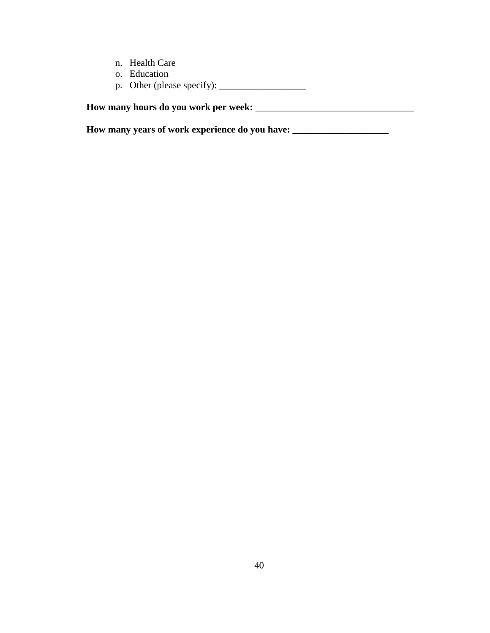- n. Health Care
- o. Education
- p. Other (please specify): \_\_\_\_\_\_\_\_\_\_\_\_\_\_\_\_\_\_

**How many hours do you work per week:** \_\_\_\_\_\_\_\_\_\_\_\_\_\_\_\_\_\_\_\_\_\_\_\_\_\_\_\_\_\_\_\_\_

**How many years of work experience do you have: \_\_\_\_\_\_\_\_\_\_\_\_\_\_\_\_\_\_\_\_**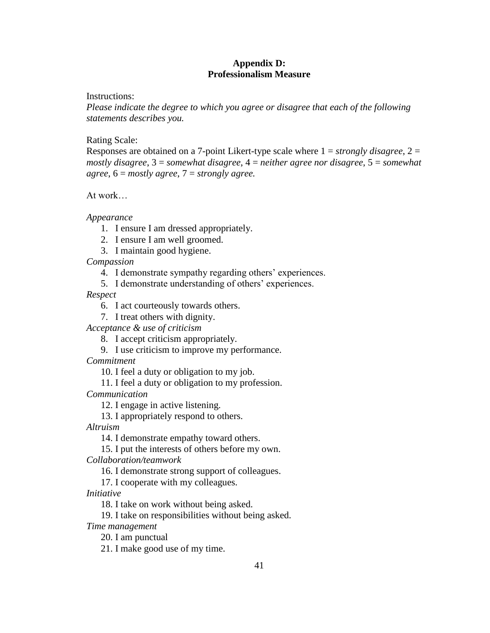#### **Appendix D: Professionalism Measure**

<span id="page-47-0"></span>Instructions:

*Please indicate the degree to which you agree or disagree that each of the following statements describes you.*

Rating Scale:

Responses are obtained on a 7-point Likert-type scale where 1 = *strongly disagree*, 2 = *mostly disagree*, 3 = *somewhat disagree*, 4 = *neither agree nor disagree*, 5 = *somewhat agree*, 6 = *mostly agree*, 7 = *strongly agree.*

At work…

*Appearance* 

- 1. I ensure I am dressed appropriately.
- 2. I ensure I am well groomed.
- 3. I maintain good hygiene.

*Compassion*

- 4. I demonstrate sympathy regarding others' experiences.
- 5. I demonstrate understanding of others' experiences.

*Respect*

6. I act courteously towards others.

7. I treat others with dignity.

*Acceptance & use of criticism*

- 8. I accept criticism appropriately.
- 9. I use criticism to improve my performance.

*Commitment*

10. I feel a duty or obligation to my job.

11. I feel a duty or obligation to my profession.

*Communication*

12. I engage in active listening.

13. I appropriately respond to others.

*Altruism*

14. I demonstrate empathy toward others.

15. I put the interests of others before my own.

*Collaboration/teamwork*

16. I demonstrate strong support of colleagues.

17. I cooperate with my colleagues.

*Initiative*

18. I take on work without being asked.

19. I take on responsibilities without being asked.

*Time management*

20. I am punctual

21. I make good use of my time.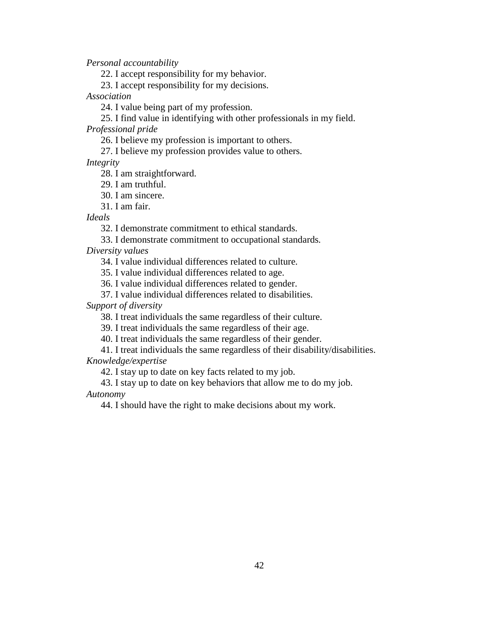*Personal accountability* 

22. I accept responsibility for my behavior.

23. I accept responsibility for my decisions.

*Association*

24. I value being part of my profession.

25. I find value in identifying with other professionals in my field.

*Professional pride*

26. I believe my profession is important to others.

27. I believe my profession provides value to others.

*Integrity*

28. I am straightforward.

29. I am truthful.

30. I am sincere.

31. I am fair.

*Ideals*

32. I demonstrate commitment to ethical standards.

33. I demonstrate commitment to occupational standards*.*

*Diversity values*

34. I value individual differences related to culture.

35. I value individual differences related to age.

36. I value individual differences related to gender.

37. I value individual differences related to disabilities.

*Support of diversity*

38. I treat individuals the same regardless of their culture.

39. I treat individuals the same regardless of their age.

40. I treat individuals the same regardless of their gender.

41. I treat individuals the same regardless of their disability/disabilities. *Knowledge/expertise*

42. I stay up to date on key facts related to my job.

43. I stay up to date on key behaviors that allow me to do my job. *Autonomy*

44. I should have the right to make decisions about my work.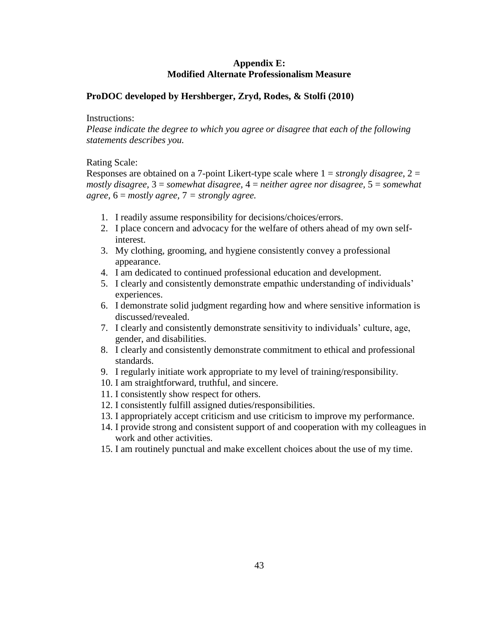#### **Appendix E: Modified Alternate Professionalism Measure**

#### <span id="page-49-0"></span>**ProDOC developed by Hershberger, Zryd, Rodes, & Stolfi (2010)**

#### Instructions:

*Please indicate the degree to which you agree or disagree that each of the following statements describes you.*

#### Rating Scale:

Responses are obtained on a 7-point Likert-type scale where 1 = *strongly disagree*, 2 = *mostly disagree,* 3 = *somewhat disagree,* 4 = *neither agree nor disagree,* 5 = *somewhat agree,* 6 = *mostly agree,* 7 *= strongly agree.*

- 1. I readily assume responsibility for decisions/choices/errors.
- 2. I place concern and advocacy for the welfare of others ahead of my own selfinterest.
- 3. My clothing, grooming, and hygiene consistently convey a professional appearance.
- 4. I am dedicated to continued professional education and development.
- 5. I clearly and consistently demonstrate empathic understanding of individuals' experiences.
- 6. I demonstrate solid judgment regarding how and where sensitive information is discussed/revealed.
- 7. I clearly and consistently demonstrate sensitivity to individuals' culture, age, gender, and disabilities.
- 8. I clearly and consistently demonstrate commitment to ethical and professional standards.
- 9. I regularly initiate work appropriate to my level of training/responsibility.
- 10. I am straightforward, truthful, and sincere.
- 11. I consistently show respect for others.
- 12. I consistently fulfill assigned duties/responsibilities.
- 13. I appropriately accept criticism and use criticism to improve my performance.
- 14. I provide strong and consistent support of and cooperation with my colleagues in work and other activities.
- 15. I am routinely punctual and make excellent choices about the use of my time.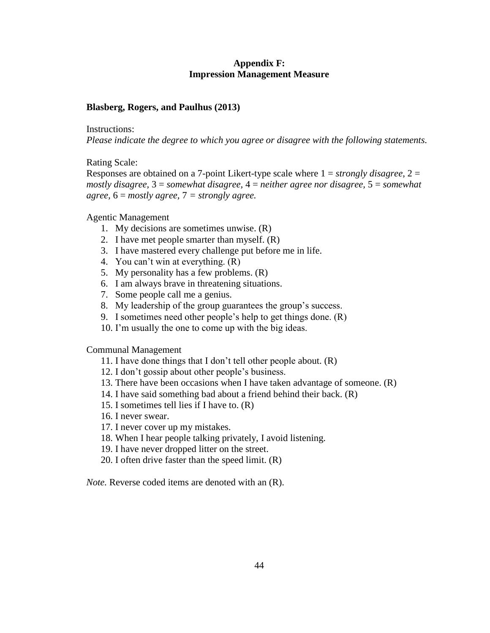#### **Appendix F: Impression Management Measure**

#### <span id="page-50-0"></span>**Blasberg, Rogers, and Paulhus (2013)**

Instructions:

*Please indicate the degree to which you agree or disagree with the following statements.*

Rating Scale:

Responses are obtained on a 7-point Likert-type scale where 1 = *strongly disagree*, 2 = *mostly disagree,* 3 = *somewhat disagree,* 4 = *neither agree nor disagree,* 5 = *somewhat agree,* 6 = *mostly agree,* 7 *= strongly agree.*

Agentic Management

- 1. My decisions are sometimes unwise. (R)
- 2. I have met people smarter than myself. (R)
- 3. I have mastered every challenge put before me in life.
- 4. You can't win at everything. (R)
- 5. My personality has a few problems. (R)
- 6. I am always brave in threatening situations.
- 7. Some people call me a genius.
- 8. My leadership of the group guarantees the group's success.
- 9. I sometimes need other people's help to get things done. (R)
- 10. I'm usually the one to come up with the big ideas.

Communal Management

- 11. I have done things that I don't tell other people about. (R)
- 12. I don't gossip about other people's business.
- 13. There have been occasions when I have taken advantage of someone. (R)
- 14. I have said something bad about a friend behind their back. (R)
- 15. I sometimes tell lies if I have to. (R)
- 16. I never swear.
- 17. I never cover up my mistakes.
- 18. When I hear people talking privately, I avoid listening.
- 19. I have never dropped litter on the street.
- 20. I often drive faster than the speed limit. (R)

*Note.* Reverse coded items are denoted with an (R).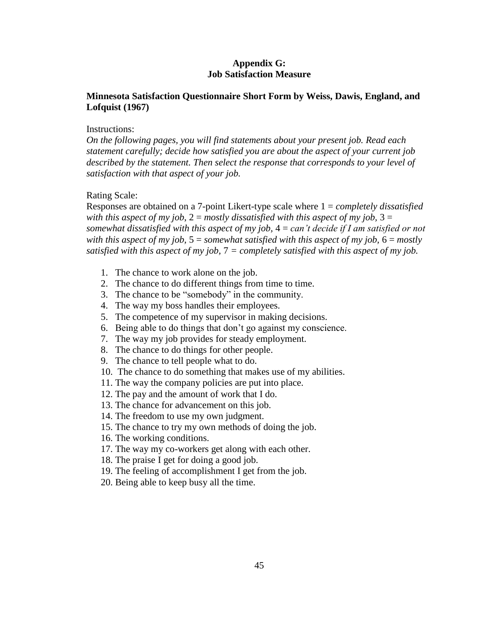#### **Appendix G: Job Satisfaction Measure**

#### <span id="page-51-0"></span>**Minnesota Satisfaction Questionnaire Short Form by Weiss, Dawis, England, and Lofquist (1967)**

#### Instructions:

*On the following pages, you will find statements about your present job. Read each statement carefully; decide how satisfied you are about the aspect of your current job described by the statement. Then select the response that corresponds to your level of satisfaction with that aspect of your job.*

#### Rating Scale:

Responses are obtained on a 7-point Likert-type scale where 1 = *completely dissatisfied with this aspect of my job,*  $2 =$  *mostly dissatisfied with this aspect of my job,*  $3 =$ *somewhat dissatisfied with this aspect of my job,* 4 = *can't decide if I am satisfied or not with this aspect of my job,*  $5 =$  *somewhat satisfied with this aspect of my job,*  $6 =$  *mostly satisfied with this aspect of my job,* 7 *= completely satisfied with this aspect of my job.*

- 1. The chance to work alone on the job.
- 2. The chance to do different things from time to time.
- 3. The chance to be "somebody" in the community.
- 4. The way my boss handles their employees.
- 5. The competence of my supervisor in making decisions.
- 6. Being able to do things that don't go against my conscience.
- 7. The way my job provides for steady employment.
- 8. The chance to do things for other people.
- 9. The chance to tell people what to do.
- 10. The chance to do something that makes use of my abilities.
- 11. The way the company policies are put into place.
- 12. The pay and the amount of work that I do.
- 13. The chance for advancement on this job.
- 14. The freedom to use my own judgment.
- 15. The chance to try my own methods of doing the job.
- 16. The working conditions.
- 17. The way my co-workers get along with each other.
- 18. The praise I get for doing a good job.
- 19. The feeling of accomplishment I get from the job.
- 20. Being able to keep busy all the time.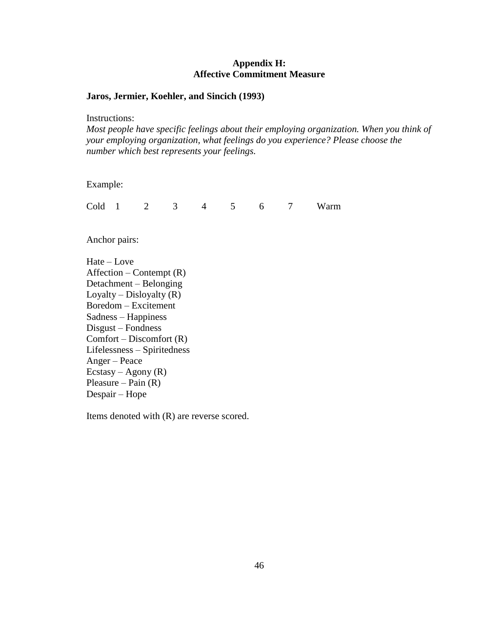#### **Appendix H: Affective Commitment Measure**

#### <span id="page-52-0"></span>**Jaros, Jermier, Koehler, and Sincich (1993)**

Instructions:

*Most people have specific feelings about their employing organization. When you think of your employing organization, what feelings do you experience? Please choose the number which best represents your feelings.*

Example:

Cold 1 2 3 4 5 6 7 Warm

Anchor pairs:

Hate – Love  $After the  $-$  Content (R)$ Detachment – Belonging Loyalty – Disloyalty  $(R)$ Boredom – Excitement Sadness – Happiness Disgust – Fondness  $Comfort - Discount (R)$ Lifelessness – Spiritedness Anger – Peace Ecstasy – Agony  $(R)$ Pleasure – Pain  $(R)$ Despair – Hope

Items denoted with (R) are reverse scored.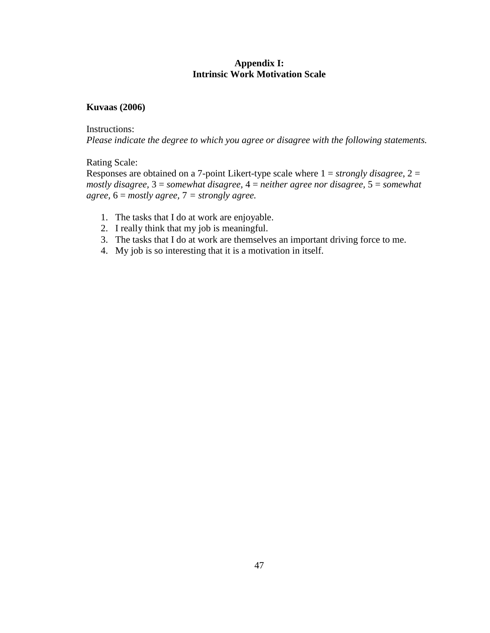#### **Appendix I: Intrinsic Work Motivation Scale**

#### <span id="page-53-0"></span>**Kuvaas (2006)**

Instructions:

*Please indicate the degree to which you agree or disagree with the following statements.*

Rating Scale:

Responses are obtained on a 7-point Likert-type scale where 1 = *strongly disagree*, 2 = *mostly disagree,* 3 = *somewhat disagree,* 4 = *neither agree nor disagree,* 5 = *somewhat agree,* 6 = *mostly agree,* 7 *= strongly agree.*

- 1. The tasks that I do at work are enjoyable.
- 2. I really think that my job is meaningful.
- 3. The tasks that I do at work are themselves an important driving force to me.
- 4. My job is so interesting that it is a motivation in itself.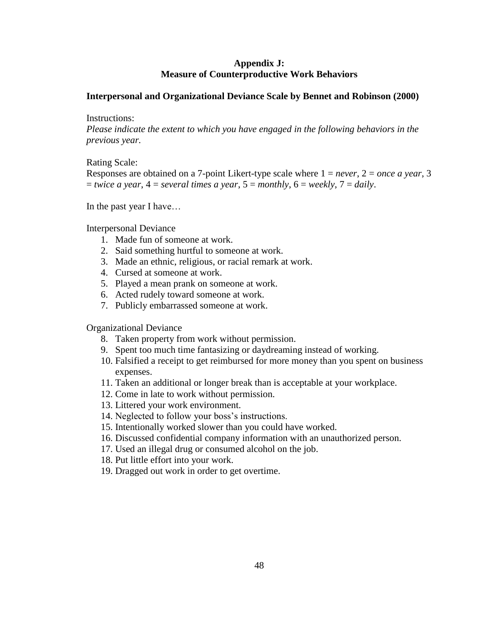#### **Appendix J: Measure of Counterproductive Work Behaviors**

#### <span id="page-54-0"></span>**Interpersonal and Organizational Deviance Scale by Bennet and Robinson (2000)**

#### Instructions:

*Please indicate the extent to which you have engaged in the following behaviors in the previous year.*

#### Rating Scale:

Responses are obtained on a 7-point Likert-type scale where 1 = *never*, 2 = *once a year*, 3  $=$  *twice a year*,  $4 =$  *several times a year*,  $5 =$  *monthly*,  $6 =$  *weekly*,  $7 =$  *daily*.

In the past year I have…

#### Interpersonal Deviance

- 1. Made fun of someone at work.
- 2. Said something hurtful to someone at work.
- 3. Made an ethnic, religious, or racial remark at work.
- 4. Cursed at someone at work.
- 5. Played a mean prank on someone at work.
- 6. Acted rudely toward someone at work.
- 7. Publicly embarrassed someone at work.

#### Organizational Deviance

- 8. Taken property from work without permission.
- 9. Spent too much time fantasizing or daydreaming instead of working.
- 10. Falsified a receipt to get reimbursed for more money than you spent on business expenses.
- 11. Taken an additional or longer break than is acceptable at your workplace.
- 12. Come in late to work without permission.
- 13. Littered your work environment.
- 14. Neglected to follow your boss's instructions.
- 15. Intentionally worked slower than you could have worked.
- 16. Discussed confidential company information with an unauthorized person.
- 17. Used an illegal drug or consumed alcohol on the job.
- 18. Put little effort into your work.
- 19. Dragged out work in order to get overtime.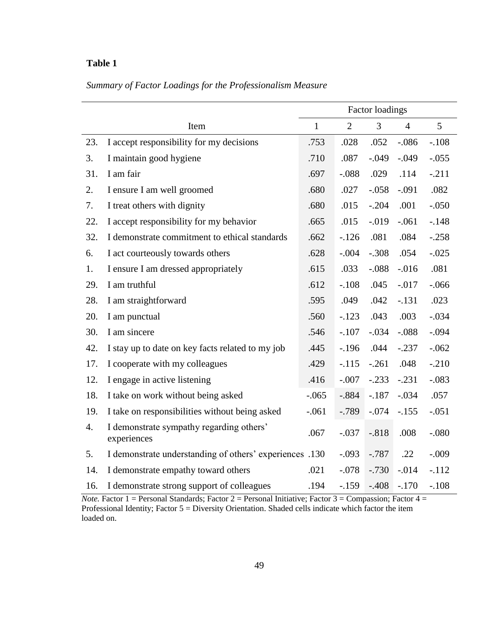# <span id="page-55-0"></span>*Summary of Factor Loadings for the Professionalism Measure*

|     |                                                                                       | <b>Factor loadings</b> |                |                |                |                 |
|-----|---------------------------------------------------------------------------------------|------------------------|----------------|----------------|----------------|-----------------|
|     | Item                                                                                  | $\mathbf{1}$           | $\overline{2}$ | $\overline{3}$ | $\overline{4}$ | $5\overline{)}$ |
| 23. | I accept responsibility for my decisions                                              | .753                   | .028           | .052           | $-.086$        | $-.108$         |
| 3.  | I maintain good hygiene                                                               | .710                   | .087           | $-.049$        | $-.049$        | $-.055$         |
| 31. | I am fair                                                                             | .697                   | $-.088$        | .029           | .114           | $-.211$         |
| 2.  | I ensure I am well groomed                                                            | .680                   | .027           | $-.058$        | $-.091$        | .082            |
| 7.  | I treat others with dignity                                                           | .680                   | .015           | $-.204$        | .001           | $-.050$         |
| 22. | I accept responsibility for my behavior                                               | .665                   | .015           | $-0.019$       | $-.061$        | $-.148$         |
| 32. | I demonstrate commitment to ethical standards                                         | .662                   | $-126$         | .081           | .084           | $-.258$         |
| 6.  | I act courteously towards others                                                      | .628                   | $-.004$        | $-.308$        | .054           | $-.025$         |
| 1.  | I ensure I am dressed appropriately                                                   | .615                   | .033           | $-.088$        | $-0.016$       | .081            |
| 29. | I am truthful                                                                         | .612                   | $-.108$        | .045           | $-0.017$       | $-0.066$        |
| 28. | I am straightforward                                                                  | .595                   | .049           | .042           | $-.131$        | .023            |
| 20. | I am punctual                                                                         | .560                   | $-.123$        | .043           | .003           | $-.034$         |
| 30. | I am sincere                                                                          | .546                   | $-.107$        | $-.034$        | $-.088$        | $-.094$         |
| 42. | I stay up to date on key facts related to my job                                      | .445                   | $-196$         | .044           | $-.237$        | $-.062$         |
| 17. | I cooperate with my colleagues                                                        | .429                   | $-.115$        | $-.261$        | .048           | $-.210$         |
| 12. | I engage in active listening                                                          | .416                   | $-.007$        | $-.233$        | $-.231$        | $-.083$         |
| 18. | I take on work without being asked                                                    | $-.065$                | $-.884$        | $-.187$        | $-.034$        | .057            |
| 19. | I take on responsibilities without being asked<br>$-.061$                             |                        | $-0.789$       | $-.074$        | $-.155$        | $-.051$         |
| 4.  | I demonstrate sympathy regarding others'<br>.067<br>$-.037$<br>$-.818$<br>experiences |                        | .008           | $-.080$        |                |                 |
| 5.  | I demonstrate understanding of others' experiences .130                               |                        | $-.093$        | $-.787$        | .22            | $-.009$         |
| 14. | I demonstrate empathy toward others                                                   | .021                   | $-.078$        | $-.730$        | $-0.014$       | $-.112$         |
| 16. | I demonstrate strong support of colleagues                                            | .194                   | $-.159$        | $-.408$        | $-.170$        | $-.108$         |

*Note.* Factor 1 = Personal Standards; Factor 2 = Personal Initiative; Factor 3 = Compassion; Factor 4 = Professional Identity; Factor 5 = Diversity Orientation. Shaded cells indicate which factor the item loaded on.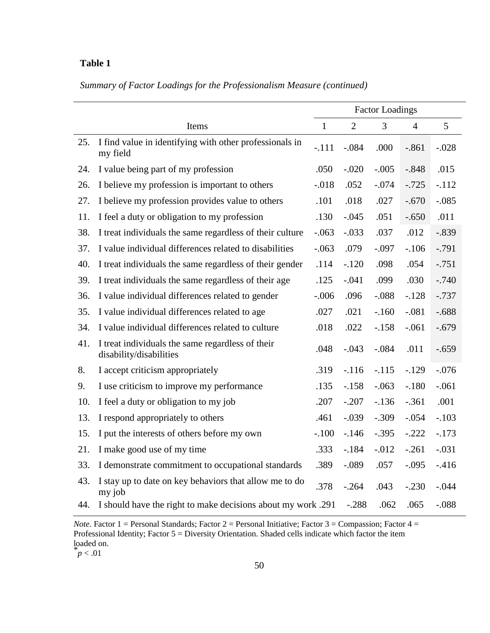|  |  | Summary of Factor Loadings for the Professionalism Measure (continued) |  |
|--|--|------------------------------------------------------------------------|--|
|  |  |                                                                        |  |

|     |                                                                             |              |                | <b>Factor Loadings</b> |                |          |
|-----|-----------------------------------------------------------------------------|--------------|----------------|------------------------|----------------|----------|
|     | Items                                                                       | $\mathbf{1}$ | $\overline{2}$ | $\overline{3}$         | $\overline{4}$ | 5        |
| 25. | I find value in identifying with other professionals in<br>my field         | $-.111$      | $-.084$        | .000                   | $-.861$        | $-.028$  |
| 24. | I value being part of my profession                                         | .050         | $-.020$        | $-.005$                | $-.848$        | .015     |
| 26. | I believe my profession is important to others                              | $-0.018$     | .052           | $-.074$                | $-.725$        | $-.112$  |
| 27. | I believe my profession provides value to others                            | .101         | .018           | .027                   | $-.670$        | $-.085$  |
| 11. | I feel a duty or obligation to my profession                                | .130         | $-.045$        | .051                   | $-.650$        | .011     |
| 38. | I treat individuals the same regardless of their culture                    | $-.063$      | $-.033$        | .037                   | .012           | $-.839$  |
| 37. | I value individual differences related to disabilities                      | $-.063$      | .079           | $-.097$                | $-.106$        | $-0.791$ |
| 40. | I treat individuals the same regardless of their gender                     | .114         | $-.120$        | .098                   | .054           | $-.751$  |
| 39. | I treat individuals the same regardless of their age                        | .125         | $-.041$        | .099                   | .030           | $-.740$  |
| 36. | I value individual differences related to gender                            | $-.006$      | .096           | $-.088$                | $-.128$        | $-0.737$ |
| 35. | I value individual differences related to age                               | .027         | .021           | $-.160$                | $-.081$        | $-.688$  |
| 34. | I value individual differences related to culture                           | .018         | .022           | $-.158$                | $-.061$        | $-.679$  |
| 41. | I treat individuals the same regardless of their<br>disability/disabilities | .048         | $-.043$        | $-.084$                | .011           | $-.659$  |
| 8.  | I accept criticism appropriately                                            | .319         | $-.116$        | $-.115$                | $-129$         | $-.076$  |
| 9.  | I use criticism to improve my performance                                   | .135         | $-.158$        | $-.063$                | $-.180$        | $-.061$  |
| 10. | I feel a duty or obligation to my job                                       | .207         | $-.207$        | $-.136$                | $-.361$        | .001     |
| 13. | I respond appropriately to others                                           | .461         | $-.039$        | $-.309$                | $-.054$        | $-.103$  |
| 15. | I put the interests of others before my own                                 | $-.100$      | $-.146$        | $-.395$                | $-.222$        | $-.173$  |
| 21. | I make good use of my time                                                  | .333         | $-.184$        | $-0.012$               | $-.261$        | $-.031$  |
| 33. | I demonstrate commitment to occupational standards                          | .389         | $-.089$        | .057                   | $-.095$        | $-416$   |
| 43. | I stay up to date on key behaviors that allow me to do<br>my job            | .378         | $-.264$        | .043                   | $-.230$        | $-.044$  |
| 44. | I should have the right to make decisions about my work .291                |              | $-.288$        | .062                   | .065           | $-.088$  |

*Note*. Factor 1 = Personal Standards; Factor 2 = Personal Initiative; Factor 3 = Compassion; Factor 4 = Professional Identity; Factor 5 = Diversity Orientation. Shaded cells indicate which factor the item loaded on.

 $p < .01$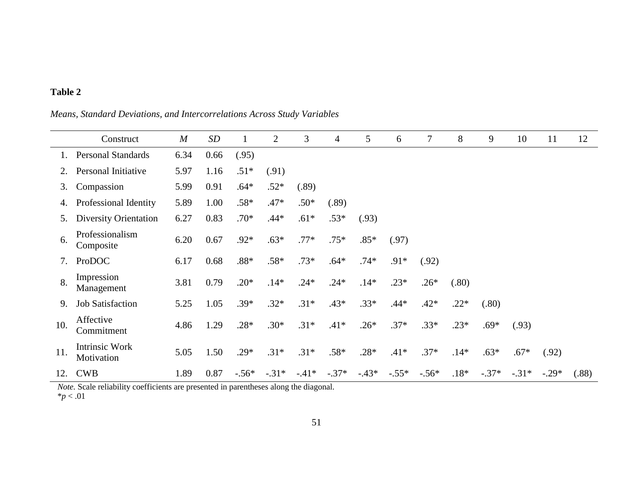<span id="page-57-0"></span>Construct *M SD* 1 2 3 4 5 6 7 8 9 10 11 12 1. Personal Standards 6.34 0.66 (.95) 2. Personal Initiative 5.97 1.16 .51\* (.91) 3. Compassion 5.99 0.91 .64\* .52\* (.89) 4. Professional Identity 5.89 1.00 .58\* .47\* .50\* (.89) 5. Diversity Orientation 6.27 0.83 .70\* .44\* .61\* .53\* (.93) 6. Professionalism Composite 6.20 0.67 .92\* .63\* .77\* .75\* .85\* (.97) 7. ProDOC 6.17 0.68 .88\* .58\* .73\* .64\* .74\* .91\* (.92) 8. Impression<br>Management Management 3.81 0.79 .20\* .14\* .24\* .24\* .14\* .23\* .26\* (.80) 9. Job Satisfaction 5.25 1.05 .39\* .32\* .31\* .43\* .33\* .44\* .42\* .22\* (.80) 10. Affective<br>Commitment Commitment 4.86 1.29 .28\* .30\* .31\* .41\* .26\* .37\* .33\* .23\* .69\* (.93) 11. Intrinsic Work<br>Motivation Motivation 5.05 1.50 .29\* .31\* .31\* .58\* .28\* .41\* .37\* .14\* .63\* .67\* (.92) 12. CWB 1.89 0.87 -.56\* -.31\* -.41\* -.37\* -.43\* -.55\* -.56\* .18\* -.37\* -.31\* -.29\* (.88)

*Means, Standard Deviations, and Intercorrelations Across Study Variables*

*Note.* Scale reliability coefficients are presented in parentheses along the diagonal. \**p* < .01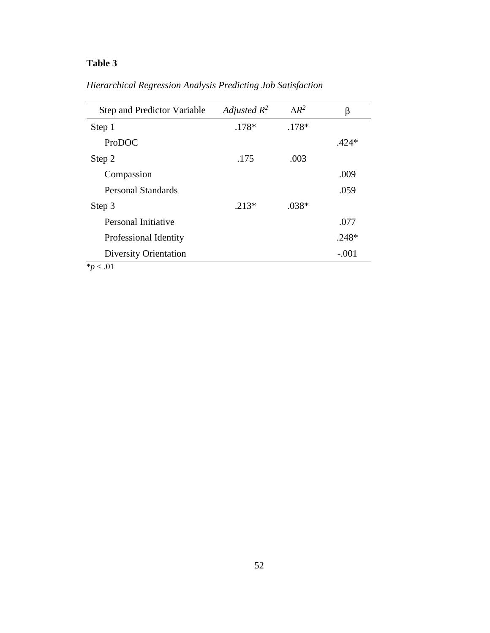| <b>Step and Predictor Variable</b> | Adjusted $R^2$ | $\Lambda R^2$ | β       |
|------------------------------------|----------------|---------------|---------|
| Step 1                             | $.178*$        | $.178*$       |         |
| ProDOC                             |                |               | $.424*$ |
| Step 2                             | .175           | .003          |         |
| Compassion                         |                |               | .009    |
| <b>Personal Standards</b>          |                |               | .059    |
| Step 3                             | $.213*$        | $.038*$       |         |
| Personal Initiative                |                |               | .077    |
| Professional Identity              |                |               | $.248*$ |
| <b>Diversity Orientation</b>       |                |               | $-.001$ |
| $*p$ < .01                         |                |               |         |

<span id="page-58-0"></span>*Hierarchical Regression Analysis Predicting Job Satisfaction*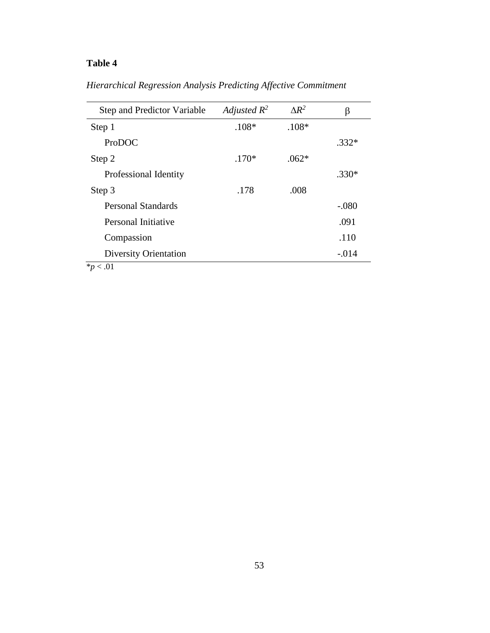| <b>Step and Predictor Variable</b> | Adjusted $R^2$ | $\Lambda R^2$ | B       |
|------------------------------------|----------------|---------------|---------|
| Step 1                             | $.108*$        | $.108*$       |         |
| ProDOC                             |                |               | $.332*$ |
| Step 2                             | $.170*$        | $.062*$       |         |
| Professional Identity              |                |               | $.330*$ |
| Step 3                             | .178           | .008          |         |
| <b>Personal Standards</b>          |                |               | $-.080$ |
| Personal Initiative                |                |               | .091    |
| Compassion                         |                |               | .110    |
| <b>Diversity Orientation</b>       |                |               | $-.014$ |
| $*p$ < .01                         |                |               |         |

<span id="page-59-0"></span>*Hierarchical Regression Analysis Predicting Affective Commitment*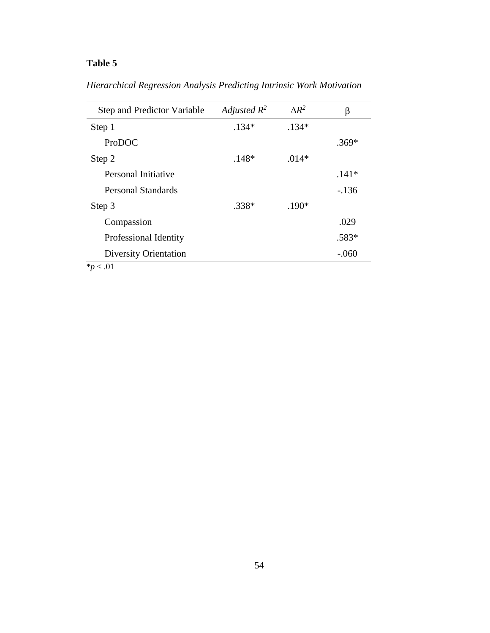| <b>Step and Predictor Variable</b> | Adjusted $R^2$ | $\Lambda R^2$ | β       |
|------------------------------------|----------------|---------------|---------|
| Step 1                             | $.134*$        | $.134*$       |         |
| ProDOC                             |                |               | $.369*$ |
| Step 2                             | $.148*$        | $.014*$       |         |
| Personal Initiative                |                |               | $.141*$ |
| <b>Personal Standards</b>          |                |               | $-136$  |
| Step 3                             | $.338*$        | $.190*$       |         |
| Compassion                         |                |               | .029    |
| Professional Identity              |                |               | $.583*$ |
| <b>Diversity Orientation</b>       |                |               | $-.060$ |
| $*_{p}$ < .01                      |                |               |         |

<span id="page-60-0"></span>*Hierarchical Regression Analysis Predicting Intrinsic Work Motivation*